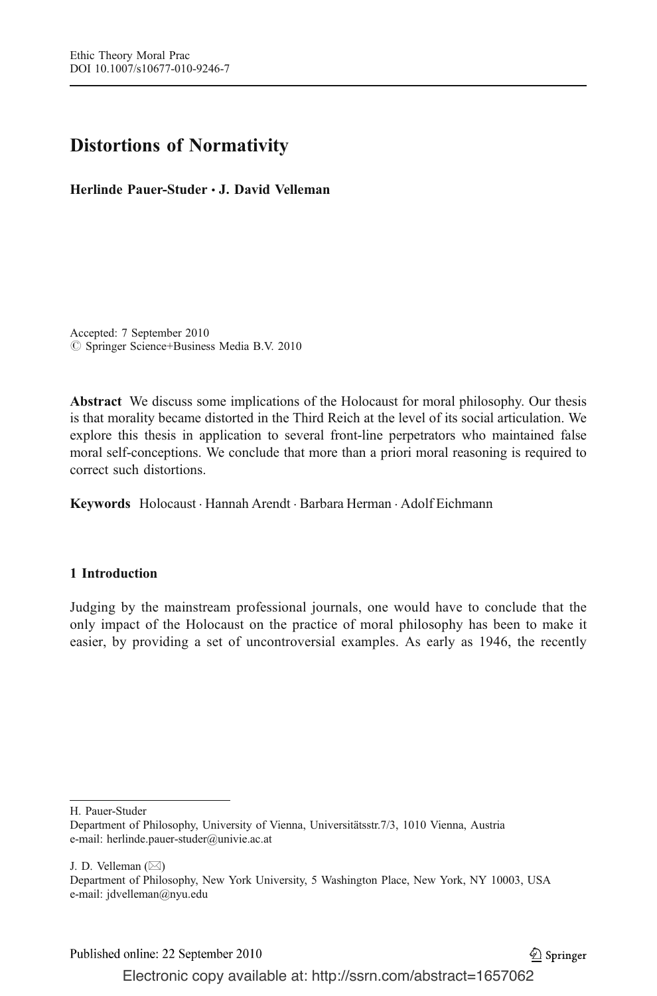## Distortions of Normativity

## Herlinde Pauer-Studer & J. David Velleman

Accepted: 7 September 2010  $\oslash$  Springer Science+Business Media B.V. 2010

Abstract We discuss some implications of the Holocaust for moral philosophy. Our thesis is that morality became distorted in the Third Reich at the level of its social articulation. We explore this thesis in application to several front-line perpetrators who maintained false moral self-conceptions. We conclude that more than a priori moral reasoning is required to correct such distortions.

Keywords Holocaust . Hannah Arendt . Barbara Herman . Adolf Eichmann

## 1 Introduction

Judging by the mainstream professional journals, one would have to conclude that the only impact of the Holocaust on the practice of moral philosophy has been to make it easier, by providing a set of uncontroversial examples. As early as 1946, the recently

H. Pauer-Studer

J. D. Velleman  $(\boxtimes)$ 

Published online: 22 September 2010

Electronic copy available at: http://ssrn.com/abstract=1657062

Department of Philosophy, University of Vienna, Universitätsstr.7/3, 1010 Vienna, Austria e-mail: herlinde.pauer-studer@univie.ac.at

Department of Philosophy, New York University, 5 Washington Place, New York, NY 10003, USA e-mail: jdvelleman@nyu.edu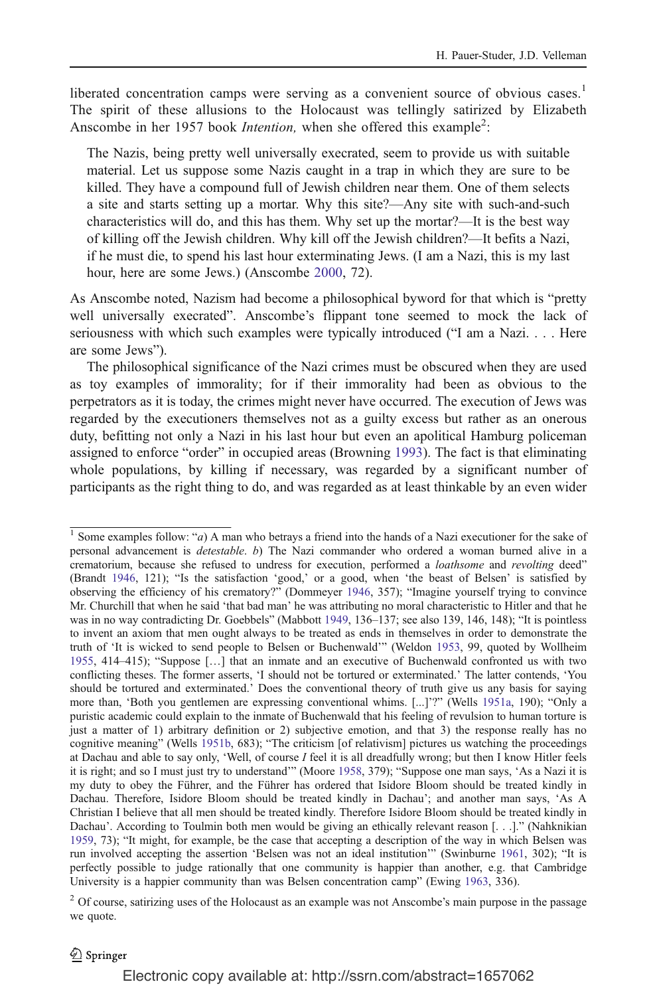liberated concentration camps were serving as a convenient source of obvious cases.<sup>1</sup> The spirit of these allusions to the Holocaust was tellingly satirized by Elizabeth Anscombe in her 1957 book Intention, when she offered this example<sup>2</sup>:

The Nazis, being pretty well universally execrated, seem to provide us with suitable material. Let us suppose some Nazis caught in a trap in which they are sure to be killed. They have a compound full of Jewish children near them. One of them selects a site and starts setting up a mortar. Why this site?—Any site with such-and-such characteristics will do, and this has them. Why set up the mortar?—It is the best way of killing off the Jewish children. Why kill off the Jewish children?—It befits a Nazi, if he must die, to spend his last hour exterminating Jews. (I am a Nazi, this is my last hour, here are some Jews.) (Anscombe [2000](#page-26-0), 72).

As Anscombe noted, Nazism had become a philosophical byword for that which is "pretty well universally execrated". Anscombe's flippant tone seemed to mock the lack of seriousness with which such examples were typically introduced ("I am a Nazi. . . . Here are some Jews").

The philosophical significance of the Nazi crimes must be obscured when they are used as toy examples of immorality; for if their immorality had been as obvious to the perpetrators as it is today, the crimes might never have occurred. The execution of Jews was regarded by the executioners themselves not as a guilty excess but rather as an onerous duty, befitting not only a Nazi in his last hour but even an apolitical Hamburg policeman assigned to enforce "order" in occupied areas (Browning [1993](#page-26-0)). The fact is that eliminating whole populations, by killing if necessary, was regarded by a significant number of participants as the right thing to do, and was regarded as at least thinkable by an even wider

 $2$  Of course, satirizing uses of the Holocaust as an example was not Anscombe's main purpose in the passage we quote.

<sup>&</sup>lt;sup>1</sup> Some examples follow: "*a*) A man who betrays a friend into the hands of a Nazi executioner for the sake of personal advancement is detestable. b) The Nazi commander who ordered a woman burned alive in a crematorium, because she refused to undress for execution, performed a *loathsome* and *revolting* deed" (Brandt [1946,](#page-26-0) 121); "Is the satisfaction 'good,' or a good, when 'the beast of Belsen' is satisfied by observing the efficiency of his crematory?" (Dommeyer [1946,](#page-26-0) 357); "Imagine yourself trying to convince Mr. Churchill that when he said 'that bad man' he was attributing no moral characteristic to Hitler and that he was in no way contradicting Dr. Goebbels" (Mabbott [1949](#page-27-0), 136–137; see also 139, 146, 148); "It is pointless to invent an axiom that men ought always to be treated as ends in themselves in order to demonstrate the truth of 'It is wicked to send people to Belsen or Buchenwald'" (Weldon [1953,](#page-27-0) 99, quoted by Wollheim [1955,](#page-27-0) 414–415); "Suppose […] that an inmate and an executive of Buchenwald confronted us with two conflicting theses. The former asserts, 'I should not be tortured or exterminated.' The latter contends, 'You should be tortured and exterminated.' Does the conventional theory of truth give us any basis for saying more than, 'Both you gentlemen are expressing conventional whims. [...]'?" (Wells [1951a](#page-27-0), 190); "Only a puristic academic could explain to the inmate of Buchenwald that his feeling of revulsion to human torture is just a matter of 1) arbitrary definition or 2) subjective emotion, and that 3) the response really has no cognitive meaning" (Wells [1951b](#page-27-0), 683); "The criticism [of relativism] pictures us watching the proceedings at Dachau and able to say only, 'Well, of course I feel it is all dreadfully wrong; but then I know Hitler feels it is right; and so I must just try to understand'" (Moore [1958](#page-27-0), 379); "Suppose one man says, 'As a Nazi it is my duty to obey the Führer, and the Führer has ordered that Isidore Bloom should be treated kindly in Dachau. Therefore, Isidore Bloom should be treated kindly in Dachau'; and another man says, 'As A Christian I believe that all men should be treated kindly. Therefore Isidore Bloom should be treated kindly in Dachau'. According to Toulmin both men would be giving an ethically relevant reason [. . .]." (Nahknikian [1959,](#page-27-0) 73); "It might, for example, be the case that accepting a description of the way in which Belsen was run involved accepting the assertion 'Belsen was not an ideal institution'" (Swinburne [1961,](#page-27-0) 302); "It is perfectly possible to judge rationally that one community is happier than another, e.g. that Cambridge University is a happier community than was Belsen concentration camp" (Ewing [1963,](#page-26-0) 336).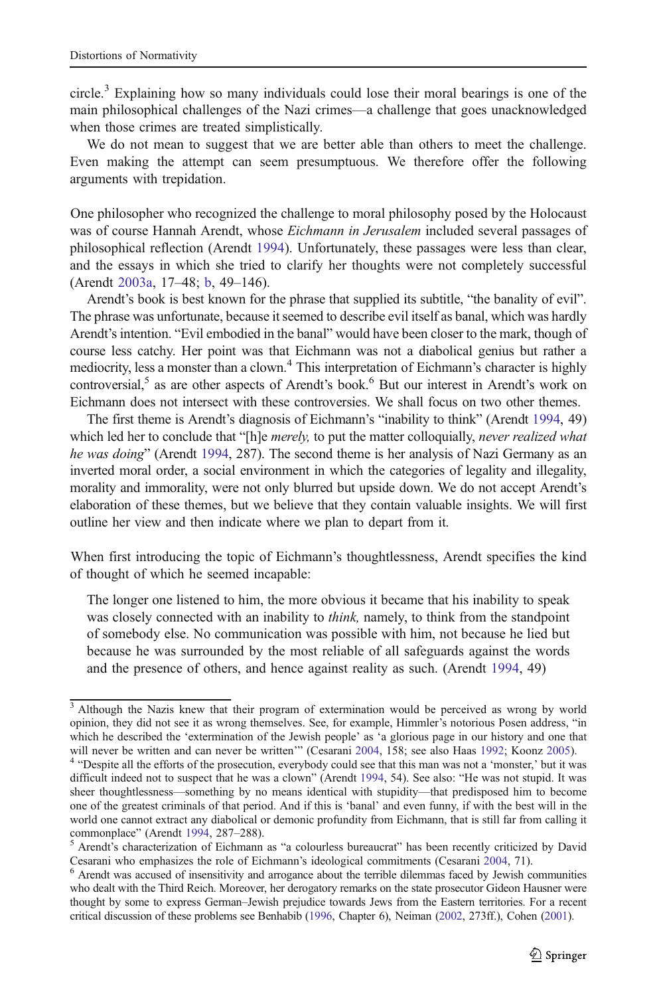circle.<sup>3</sup> Explaining how so many individuals could lose their moral bearings is one of the main philosophical challenges of the Nazi crimes—a challenge that goes unacknowledged when those crimes are treated simplistically.

We do not mean to suggest that we are better able than others to meet the challenge. Even making the attempt can seem presumptuous. We therefore offer the following arguments with trepidation.

One philosopher who recognized the challenge to moral philosophy posed by the Holocaust was of course Hannah Arendt, whose *Eichmann in Jerusalem* included several passages of philosophical reflection (Arendt [1994](#page-26-0)). Unfortunately, these passages were less than clear, and the essays in which she tried to clarify her thoughts were not completely successful (Arendt [2003a](#page-26-0), 17–48; [b,](#page-26-0) 49–146).

Arendt's book is best known for the phrase that supplied its subtitle, "the banality of evil". The phrase was unfortunate, because it seemed to describe evil itself as banal, which was hardly Arendt's intention. "Evil embodied in the banal" would have been closer to the mark, though of course less catchy. Her point was that Eichmann was not a diabolical genius but rather a mediocrity, less a monster than a clown.<sup>4</sup> This interpretation of Eichmann's character is highly controversial,<sup>5</sup> as are other aspects of Arendt's book.<sup>6</sup> But our interest in Arendt's work on Eichmann does not intersect with these controversies. We shall focus on two other themes.

The first theme is Arendt's diagnosis of Eichmann's "inability to think" (Arendt [1994,](#page-26-0) 49) which led her to conclude that "[h]e *merely*, to put the matter colloquially, *never realized what* he was doing" (Arendt [1994,](#page-26-0) 287). The second theme is her analysis of Nazi Germany as an inverted moral order, a social environment in which the categories of legality and illegality, morality and immorality, were not only blurred but upside down. We do not accept Arendt's elaboration of these themes, but we believe that they contain valuable insights. We will first outline her view and then indicate where we plan to depart from it.

When first introducing the topic of Eichmann's thoughtlessness, Arendt specifies the kind of thought of which he seemed incapable:

The longer one listened to him, the more obvious it became that his inability to speak was closely connected with an inability to think, namely, to think from the standpoint of somebody else. No communication was possible with him, not because he lied but because he was surrounded by the most reliable of all safeguards against the words and the presence of others, and hence against reality as such. (Arendt [1994](#page-26-0), 49)

<sup>&</sup>lt;sup>3</sup> Although the Nazis knew that their program of extermination would be perceived as wrong by world opinion, they did not see it as wrong themselves. See, for example, Himmler's notorious Posen address, "in which he described the 'extermination of the Jewish people' as 'a glorious page in our history and one that

will never be written and can never be written'" (Cesarani [2004,](#page-26-0) 158; see also Haas [1992](#page-26-0); Koonz [2005\)](#page-26-0).<br><sup>4</sup> "Despite all the efforts of the prosecution, everybody could see that this man was not a 'monster,' but it was difficult indeed not to suspect that he was a clown" (Arendt [1994,](#page-26-0) 54). See also: "He was not stupid. It was sheer thoughtlessness—something by no means identical with stupidity—that predisposed him to become one of the greatest criminals of that period. And if this is 'banal' and even funny, if with the best will in the world one cannot extract any diabolical or demonic profundity from Eichmann, that is still far from calling it commonplace" (Arendt [1994](#page-26-0), 287–288).<br><sup>5</sup> Arendt's characterization of Eichmann as "a colourless bureaucrat" has been recently criticized by David

Cesarani who emphasizes the role of Eichmann's ideological commitments (Cesarani [2004,](#page-26-0) 71). <sup>6</sup> Arendt was accused of insensitivity and arrogance about the terrible dilemmas faced by Jewish communities

who dealt with the Third Reich. Moreover, her derogatory remarks on the state prosecutor Gideon Hausner were thought by some to express German–Jewish prejudice towards Jews from the Eastern territories. For a recent critical discussion of these problems see Benhabib ([1996](#page-26-0), Chapter 6), Neiman ([2002](#page-27-0), 273ff.), Cohen [\(2001](#page-26-0)).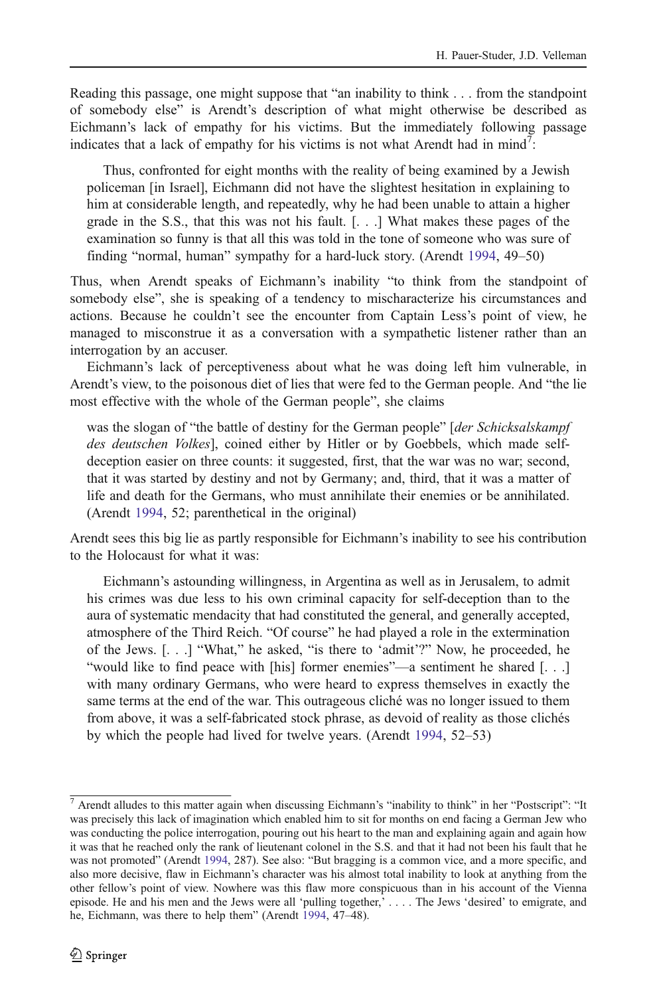Reading this passage, one might suppose that "an inability to think . . . from the standpoint of somebody else" is Arendt's description of what might otherwise be described as Eichmann's lack of empathy for his victims. But the immediately following passage indicates that a lack of empathy for his victims is not what Arendt had in mind<sup>7</sup>:

Thus, confronted for eight months with the reality of being examined by a Jewish policeman [in Israel], Eichmann did not have the slightest hesitation in explaining to him at considerable length, and repeatedly, why he had been unable to attain a higher grade in the S.S., that this was not his fault. [. . .] What makes these pages of the examination so funny is that all this was told in the tone of someone who was sure of finding "normal, human" sympathy for a hard-luck story. (Arendt [1994,](#page-26-0) 49–50)

Thus, when Arendt speaks of Eichmann's inability "to think from the standpoint of somebody else", she is speaking of a tendency to mischaracterize his circumstances and actions. Because he couldn't see the encounter from Captain Less's point of view, he managed to misconstrue it as a conversation with a sympathetic listener rather than an interrogation by an accuser.

Eichmann's lack of perceptiveness about what he was doing left him vulnerable, in Arendt's view, to the poisonous diet of lies that were fed to the German people. And "the lie most effective with the whole of the German people", she claims

was the slogan of "the battle of destiny for the German people" [der Schicksalskampf] des deutschen Volkes], coined either by Hitler or by Goebbels, which made selfdeception easier on three counts: it suggested, first, that the war was no war; second, that it was started by destiny and not by Germany; and, third, that it was a matter of life and death for the Germans, who must annihilate their enemies or be annihilated. (Arendt [1994](#page-26-0), 52; parenthetical in the original)

Arendt sees this big lie as partly responsible for Eichmann's inability to see his contribution to the Holocaust for what it was:

Eichmann's astounding willingness, in Argentina as well as in Jerusalem, to admit his crimes was due less to his own criminal capacity for self-deception than to the aura of systematic mendacity that had constituted the general, and generally accepted, atmosphere of the Third Reich. "Of course" he had played a role in the extermination of the Jews. [. . .] "What," he asked, "is there to 'admit'?" Now, he proceeded, he "would like to find peace with [his] former enemies"—a sentiment he shared [. . .] with many ordinary Germans, who were heard to express themselves in exactly the same terms at the end of the war. This outrageous cliché was no longer issued to them from above, it was a self-fabricated stock phrase, as devoid of reality as those clichés by which the people had lived for twelve years. (Arendt [1994](#page-26-0), 52–53)

 $^7$  Arendt alludes to this matter again when discussing Eichmann's "inability to think" in her "Postscript": "It was precisely this lack of imagination which enabled him to sit for months on end facing a German Jew who was conducting the police interrogation, pouring out his heart to the man and explaining again and again how it was that he reached only the rank of lieutenant colonel in the S.S. and that it had not been his fault that he was not promoted" (Arendt [1994](#page-26-0), 287). See also: "But bragging is a common vice, and a more specific, and also more decisive, flaw in Eichmann's character was his almost total inability to look at anything from the other fellow's point of view. Nowhere was this flaw more conspicuous than in his account of the Vienna episode. He and his men and the Jews were all 'pulling together,' . . . . The Jews 'desired' to emigrate, and he, Eichmann, was there to help them" (Arendt [1994](#page-26-0), 47–48).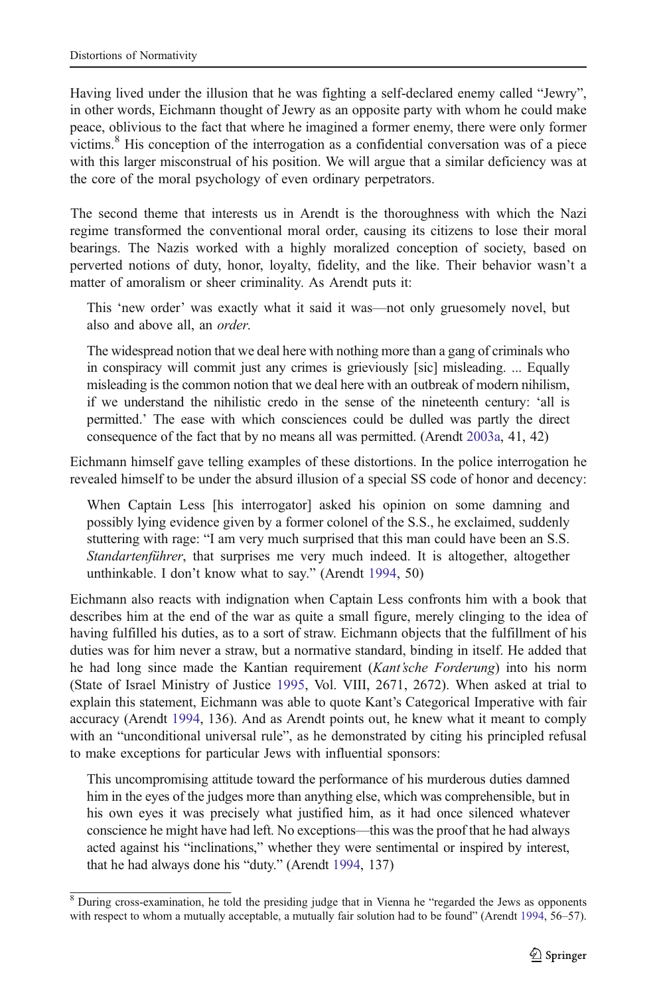Having lived under the illusion that he was fighting a self-declared enemy called "Jewry", in other words, Eichmann thought of Jewry as an opposite party with whom he could make peace, oblivious to the fact that where he imagined a former enemy, there were only former victims.<sup>8</sup> His conception of the interrogation as a confidential conversation was of a piece with this larger misconstrual of his position. We will argue that a similar deficiency was at the core of the moral psychology of even ordinary perpetrators.

The second theme that interests us in Arendt is the thoroughness with which the Nazi regime transformed the conventional moral order, causing its citizens to lose their moral bearings. The Nazis worked with a highly moralized conception of society, based on perverted notions of duty, honor, loyalty, fidelity, and the like. Their behavior wasn't a matter of amoralism or sheer criminality. As Arendt puts it:

This 'new order' was exactly what it said it was—not only gruesomely novel, but also and above all, an order.

The widespread notion that we deal here with nothing more than a gang of criminals who in conspiracy will commit just any crimes is grieviously [sic] misleading. ... Equally misleading is the common notion that we deal here with an outbreak of modern nihilism, if we understand the nihilistic credo in the sense of the nineteenth century: 'all is permitted.' The ease with which consciences could be dulled was partly the direct consequence of the fact that by no means all was permitted. (Arendt [2003a,](#page-26-0) 41, 42)

Eichmann himself gave telling examples of these distortions. In the police interrogation he revealed himself to be under the absurd illusion of a special SS code of honor and decency:

When Captain Less [his interrogator] asked his opinion on some damning and possibly lying evidence given by a former colonel of the S.S., he exclaimed, suddenly stuttering with rage: "I am very much surprised that this man could have been an S.S. Standartenführer, that surprises me very much indeed. It is altogether, altogether unthinkable. I don't know what to say." (Arendt [1994](#page-26-0), 50)

Eichmann also reacts with indignation when Captain Less confronts him with a book that describes him at the end of the war as quite a small figure, merely clinging to the idea of having fulfilled his duties, as to a sort of straw. Eichmann objects that the fulfillment of his duties was for him never a straw, but a normative standard, binding in itself. He added that he had long since made the Kantian requirement (Kant'sche Forderung) into his norm (State of Israel Ministry of Justice [1995](#page-27-0), Vol. VIII, 2671, 2672). When asked at trial to explain this statement, Eichmann was able to quote Kant's Categorical Imperative with fair accuracy (Arendt [1994,](#page-26-0) 136). And as Arendt points out, he knew what it meant to comply with an "unconditional universal rule", as he demonstrated by citing his principled refusal to make exceptions for particular Jews with influential sponsors:

This uncompromising attitude toward the performance of his murderous duties damned him in the eyes of the judges more than anything else, which was comprehensible, but in his own eyes it was precisely what justified him, as it had once silenced whatever conscience he might have had left. No exceptions—this was the proof that he had always acted against his "inclinations," whether they were sentimental or inspired by interest, that he had always done his "duty." (Arendt [1994](#page-26-0), 137)

<sup>&</sup>lt;sup>8</sup> During cross-examination, he told the presiding judge that in Vienna he "regarded the Jews as opponents with respect to whom a mutually acceptable, a mutually fair solution had to be found" (Arendt [1994](#page-26-0), 56–57).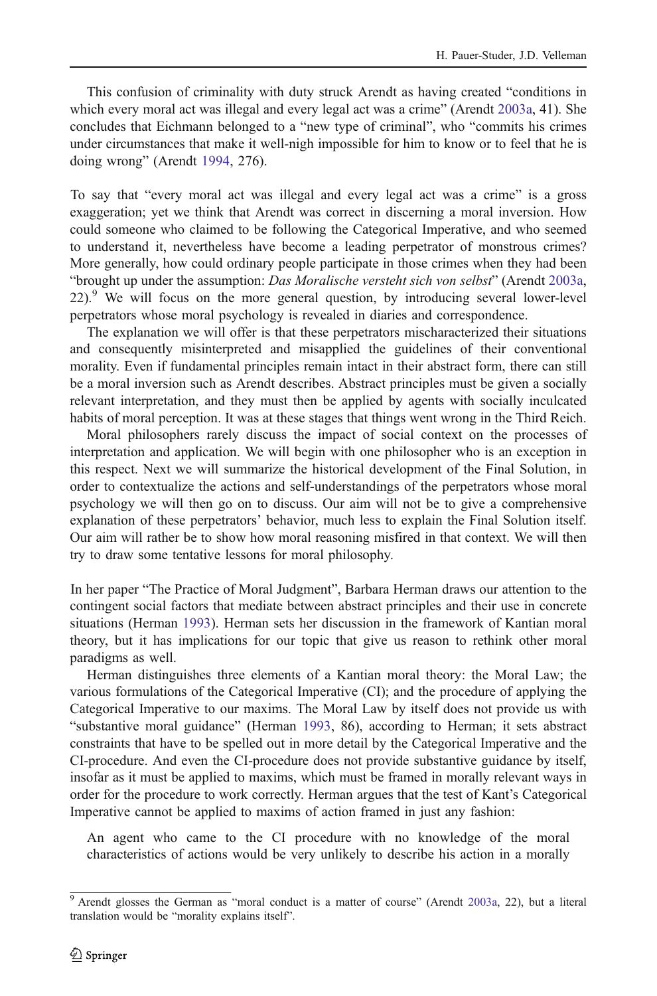This confusion of criminality with duty struck Arendt as having created "conditions in which every moral act was illegal and every legal act was a crime" (Arendt [2003a](#page-26-0), 41). She concludes that Eichmann belonged to a "new type of criminal", who "commits his crimes under circumstances that make it well-nigh impossible for him to know or to feel that he is doing wrong" (Arendt [1994,](#page-26-0) 276).

To say that "every moral act was illegal and every legal act was a crime" is a gross exaggeration; yet we think that Arendt was correct in discerning a moral inversion. How could someone who claimed to be following the Categorical Imperative, and who seemed to understand it, nevertheless have become a leading perpetrator of monstrous crimes? More generally, how could ordinary people participate in those crimes when they had been "brought up under the assumption: Das Moralische versteht sich von selbst" (Arendt [2003a](#page-26-0),  $22)$ .<sup>9</sup> We will focus on the more general question, by introducing several lower-level perpetrators whose moral psychology is revealed in diaries and correspondence.

The explanation we will offer is that these perpetrators mischaracterized their situations and consequently misinterpreted and misapplied the guidelines of their conventional morality. Even if fundamental principles remain intact in their abstract form, there can still be a moral inversion such as Arendt describes. Abstract principles must be given a socially relevant interpretation, and they must then be applied by agents with socially inculcated habits of moral perception. It was at these stages that things went wrong in the Third Reich.

Moral philosophers rarely discuss the impact of social context on the processes of interpretation and application. We will begin with one philosopher who is an exception in this respect. Next we will summarize the historical development of the Final Solution, in order to contextualize the actions and self-understandings of the perpetrators whose moral psychology we will then go on to discuss. Our aim will not be to give a comprehensive explanation of these perpetrators' behavior, much less to explain the Final Solution itself. Our aim will rather be to show how moral reasoning misfired in that context. We will then try to draw some tentative lessons for moral philosophy.

In her paper "The Practice of Moral Judgment", Barbara Herman draws our attention to the contingent social factors that mediate between abstract principles and their use in concrete situations (Herman [1993](#page-26-0)). Herman sets her discussion in the framework of Kantian moral theory, but it has implications for our topic that give us reason to rethink other moral paradigms as well.

Herman distinguishes three elements of a Kantian moral theory: the Moral Law; the various formulations of the Categorical Imperative (CI); and the procedure of applying the Categorical Imperative to our maxims. The Moral Law by itself does not provide us with "substantive moral guidance" (Herman [1993](#page-26-0), 86), according to Herman; it sets abstract constraints that have to be spelled out in more detail by the Categorical Imperative and the CI-procedure. And even the CI-procedure does not provide substantive guidance by itself, insofar as it must be applied to maxims, which must be framed in morally relevant ways in order for the procedure to work correctly. Herman argues that the test of Kant's Categorical Imperative cannot be applied to maxims of action framed in just any fashion:

An agent who came to the CI procedure with no knowledge of the moral characteristics of actions would be very unlikely to describe his action in a morally

<sup>9</sup> Arendt glosses the German as "moral conduct is a matter of course" (Arendt [2003a,](#page-26-0) 22), but a literal translation would be "morality explains itself".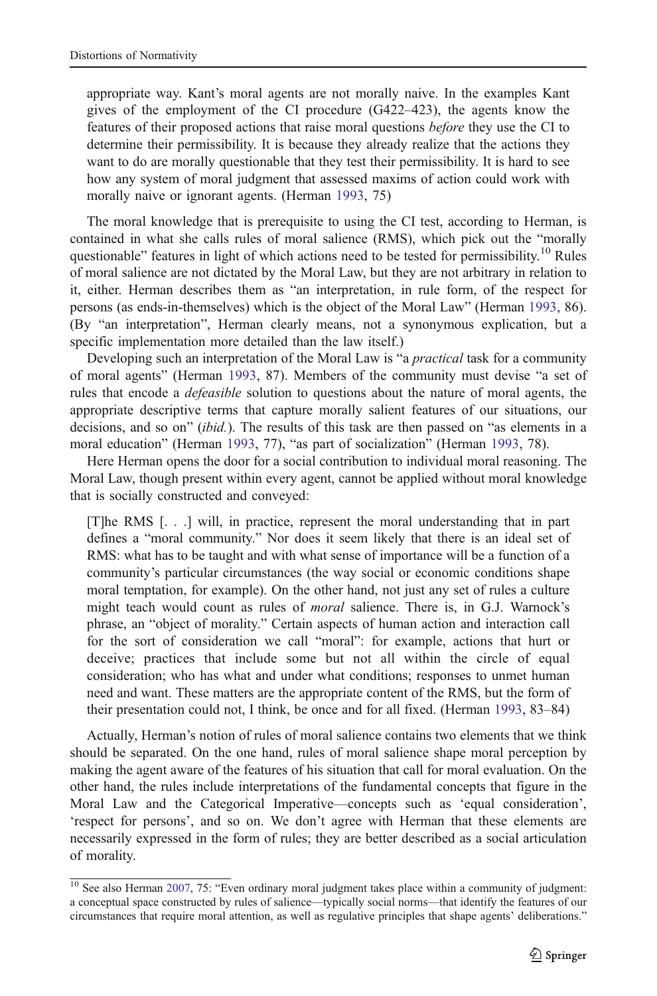appropriate way. Kant's moral agents are not morally naive. In the examples Kant gives of the employment of the CI procedure  $(G422-423)$ , the agents know the features of their proposed actions that raise moral questions before they use the CI to determine their permissibility. It is because they already realize that the actions they want to do are morally questionable that they test their permissibility. It is hard to see how any system of moral judgment that assessed maxims of action could work with morally naive or ignorant agents. (Herman [1993,](#page-26-0) 75)

The moral knowledge that is prerequisite to using the CI test, according to Herman, is contained in what she calls rules of moral salience (RMS), which pick out the "morally questionable" features in light of which actions need to be tested for permissibility.<sup>10</sup> Rules of moral salience are not dictated by the Moral Law, but they are not arbitrary in relation to it, either. Herman describes them as "an interpretation, in rule form, of the respect for persons (as ends-in-themselves) which is the object of the Moral Law" (Herman [1993,](#page-26-0) 86). (By "an interpretation", Herman clearly means, not a synonymous explication, but a specific implementation more detailed than the law itself.)

Developing such an interpretation of the Moral Law is "a *practical* task for a community of moral agents" (Herman [1993,](#page-26-0) 87). Members of the community must devise "a set of rules that encode a defeasible solution to questions about the nature of moral agents, the appropriate descriptive terms that capture morally salient features of our situations, our decisions, and so on" *(ibid.)*. The results of this task are then passed on "as elements in a moral education" (Herman [1993,](#page-26-0) 77), "as part of socialization" (Herman [1993](#page-26-0), 78).

Here Herman opens the door for a social contribution to individual moral reasoning. The Moral Law, though present within every agent, cannot be applied without moral knowledge that is socially constructed and conveyed:

[T]he RMS [. . .] will, in practice, represent the moral understanding that in part defines a "moral community." Nor does it seem likely that there is an ideal set of RMS: what has to be taught and with what sense of importance will be a function of a community's particular circumstances (the way social or economic conditions shape moral temptation, for example). On the other hand, not just any set of rules a culture might teach would count as rules of moral salience. There is, in G.J. Warnock's phrase, an "object of morality." Certain aspects of human action and interaction call for the sort of consideration we call "moral": for example, actions that hurt or deceive; practices that include some but not all within the circle of equal consideration; who has what and under what conditions; responses to unmet human need and want. These matters are the appropriate content of the RMS, but the form of their presentation could not, I think, be once and for all fixed. (Herman [1993,](#page-26-0) 83–84)

Actually, Herman's notion of rules of moral salience contains two elements that we think should be separated. On the one hand, rules of moral salience shape moral perception by making the agent aware of the features of his situation that call for moral evaluation. On the other hand, the rules include interpretations of the fundamental concepts that figure in the Moral Law and the Categorical Imperative—concepts such as 'equal consideration', 'respect for persons', and so on. We don't agree with Herman that these elements are necessarily expressed in the form of rules; they are better described as a social articulation of morality.

<sup>&</sup>lt;sup>10</sup> See also Herman [2007](#page-26-0), 75: "Even ordinary moral judgment takes place within a community of judgment: a conceptual space constructed by rules of salience—typically social norms—that identify the features of our circumstances that require moral attention, as well as regulative principles that shape agents' deliberations."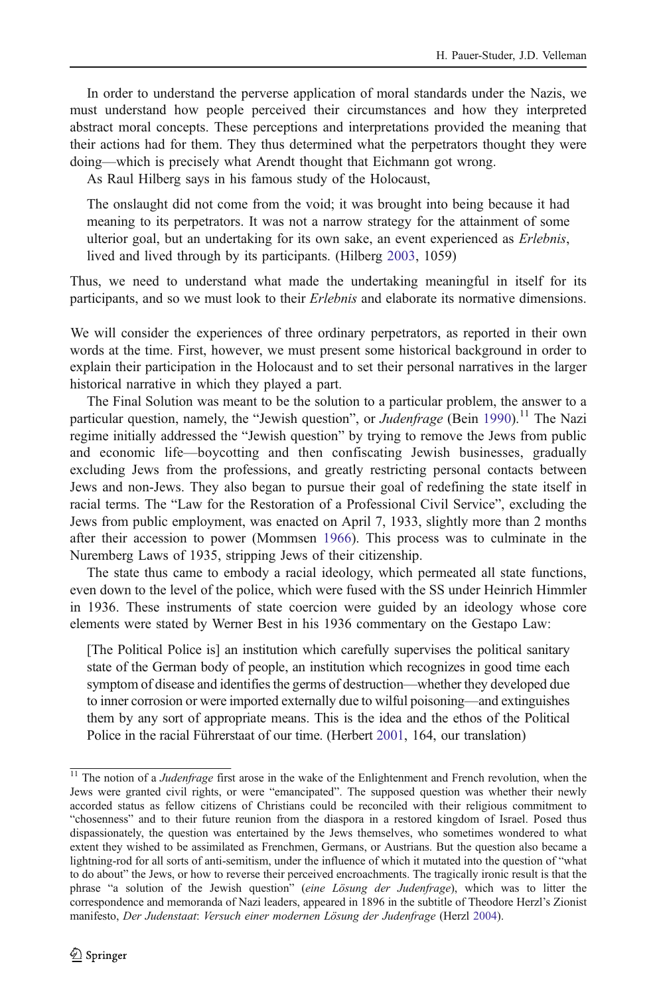In order to understand the perverse application of moral standards under the Nazis, we must understand how people perceived their circumstances and how they interpreted abstract moral concepts. These perceptions and interpretations provided the meaning that their actions had for them. They thus determined what the perpetrators thought they were doing—which is precisely what Arendt thought that Eichmann got wrong.

As Raul Hilberg says in his famous study of the Holocaust,

The onslaught did not come from the void; it was brought into being because it had meaning to its perpetrators. It was not a narrow strategy for the attainment of some ulterior goal, but an undertaking for its own sake, an event experienced as *Erlebnis*, lived and lived through by its participants. (Hilberg [2003](#page-26-0), 1059)

Thus, we need to understand what made the undertaking meaningful in itself for its participants, and so we must look to their *Erlebnis* and elaborate its normative dimensions.

We will consider the experiences of three ordinary perpetrators, as reported in their own words at the time. First, however, we must present some historical background in order to explain their participation in the Holocaust and to set their personal narratives in the larger historical narrative in which they played a part.

The Final Solution was meant to be the solution to a particular problem, the answer to a particular question, namely, the "Jewish question", or Judenfrage (Bein [1990](#page-26-0)).<sup>11</sup> The Nazi regime initially addressed the "Jewish question" by trying to remove the Jews from public and economic life—boycotting and then confiscating Jewish businesses, gradually excluding Jews from the professions, and greatly restricting personal contacts between Jews and non-Jews. They also began to pursue their goal of redefining the state itself in racial terms. The "Law for the Restoration of a Professional Civil Service", excluding the Jews from public employment, was enacted on April 7, 1933, slightly more than 2 months after their accession to power (Mommsen [1966](#page-27-0)). This process was to culminate in the Nuremberg Laws of 1935, stripping Jews of their citizenship.

The state thus came to embody a racial ideology, which permeated all state functions, even down to the level of the police, which were fused with the SS under Heinrich Himmler in 1936. These instruments of state coercion were guided by an ideology whose core elements were stated by Werner Best in his 1936 commentary on the Gestapo Law:

[The Political Police is] an institution which carefully supervises the political sanitary state of the German body of people, an institution which recognizes in good time each symptom of disease and identifies the germs of destruction—whether they developed due to inner corrosion or were imported externally due to wilful poisoning—and extinguishes them by any sort of appropriate means. This is the idea and the ethos of the Political Police in the racial Führerstaat of our time. (Herbert [2001](#page-26-0), 164, our translation)

The notion of a Judenfrage first arose in the wake of the Enlightenment and French revolution, when the Jews were granted civil rights, or were "emancipated". The supposed question was whether their newly accorded status as fellow citizens of Christians could be reconciled with their religious commitment to "chosenness" and to their future reunion from the diaspora in a restored kingdom of Israel. Posed thus dispassionately, the question was entertained by the Jews themselves, who sometimes wondered to what extent they wished to be assimilated as Frenchmen, Germans, or Austrians. But the question also became a lightning-rod for all sorts of anti-semitism, under the influence of which it mutated into the question of "what to do about" the Jews, or how to reverse their perceived encroachments. The tragically ironic result is that the phrase "a solution of the Jewish question" (eine Lösung der Judenfrage), which was to litter the correspondence and memoranda of Nazi leaders, appeared in 1896 in the subtitle of Theodore Herzl's Zionist manifesto, Der Judenstaat: Versuch einer modernen Lösung der Judenfrage (Herzl [2004\)](#page-26-0).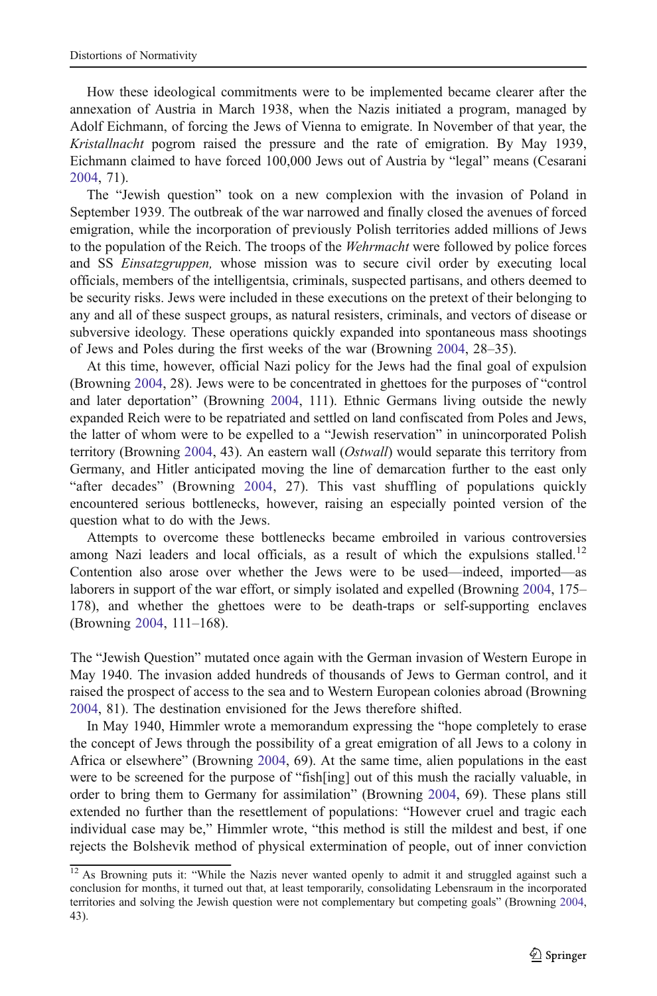How these ideological commitments were to be implemented became clearer after the annexation of Austria in March 1938, when the Nazis initiated a program, managed by Adolf Eichmann, of forcing the Jews of Vienna to emigrate. In November of that year, the Kristallnacht pogrom raised the pressure and the rate of emigration. By May 1939, Eichmann claimed to have forced 100,000 Jews out of Austria by "legal" means (Cesarani [2004,](#page-26-0) 71).

The "Jewish question" took on a new complexion with the invasion of Poland in September 1939. The outbreak of the war narrowed and finally closed the avenues of forced emigration, while the incorporation of previously Polish territories added millions of Jews to the population of the Reich. The troops of the *Wehrmacht* were followed by police forces and SS *Einsatzgruppen*, whose mission was to secure civil order by executing local officials, members of the intelligentsia, criminals, suspected partisans, and others deemed to be security risks. Jews were included in these executions on the pretext of their belonging to any and all of these suspect groups, as natural resisters, criminals, and vectors of disease or subversive ideology. These operations quickly expanded into spontaneous mass shootings of Jews and Poles during the first weeks of the war (Browning [2004](#page-26-0), 28–35).

At this time, however, official Nazi policy for the Jews had the final goal of expulsion (Browning [2004,](#page-26-0) 28). Jews were to be concentrated in ghettoes for the purposes of "control and later deportation" (Browning [2004](#page-26-0), 111). Ethnic Germans living outside the newly expanded Reich were to be repatriated and settled on land confiscated from Poles and Jews, the latter of whom were to be expelled to a "Jewish reservation" in unincorporated Polish territory (Browning [2004](#page-26-0), 43). An eastern wall *(Ostwall)* would separate this territory from Germany, and Hitler anticipated moving the line of demarcation further to the east only "after decades" (Browning [2004,](#page-26-0) 27). This vast shuffling of populations quickly encountered serious bottlenecks, however, raising an especially pointed version of the question what to do with the Jews.

Attempts to overcome these bottlenecks became embroiled in various controversies among Nazi leaders and local officials, as a result of which the expulsions stalled.<sup>12</sup> Contention also arose over whether the Jews were to be used—indeed, imported—as laborers in support of the war effort, or simply isolated and expelled (Browning [2004,](#page-26-0) 175– 178), and whether the ghettoes were to be death-traps or self-supporting enclaves (Browning [2004,](#page-26-0) 111–168).

The "Jewish Question" mutated once again with the German invasion of Western Europe in May 1940. The invasion added hundreds of thousands of Jews to German control, and it raised the prospect of access to the sea and to Western European colonies abroad (Browning [2004,](#page-26-0) 81). The destination envisioned for the Jews therefore shifted.

In May 1940, Himmler wrote a memorandum expressing the "hope completely to erase the concept of Jews through the possibility of a great emigration of all Jews to a colony in Africa or elsewhere" (Browning [2004](#page-26-0), 69). At the same time, alien populations in the east were to be screened for the purpose of "fish[ing] out of this mush the racially valuable, in order to bring them to Germany for assimilation" (Browning [2004](#page-26-0), 69). These plans still extended no further than the resettlement of populations: "However cruel and tragic each individual case may be," Himmler wrote, "this method is still the mildest and best, if one rejects the Bolshevik method of physical extermination of people, out of inner conviction

<sup>&</sup>lt;sup>12</sup> As Browning puts it: "While the Nazis never wanted openly to admit it and struggled against such a conclusion for months, it turned out that, at least temporarily, consolidating Lebensraum in the incorporated territories and solving the Jewish question were not complementary but competing goals" (Browning [2004,](#page-26-0) 43).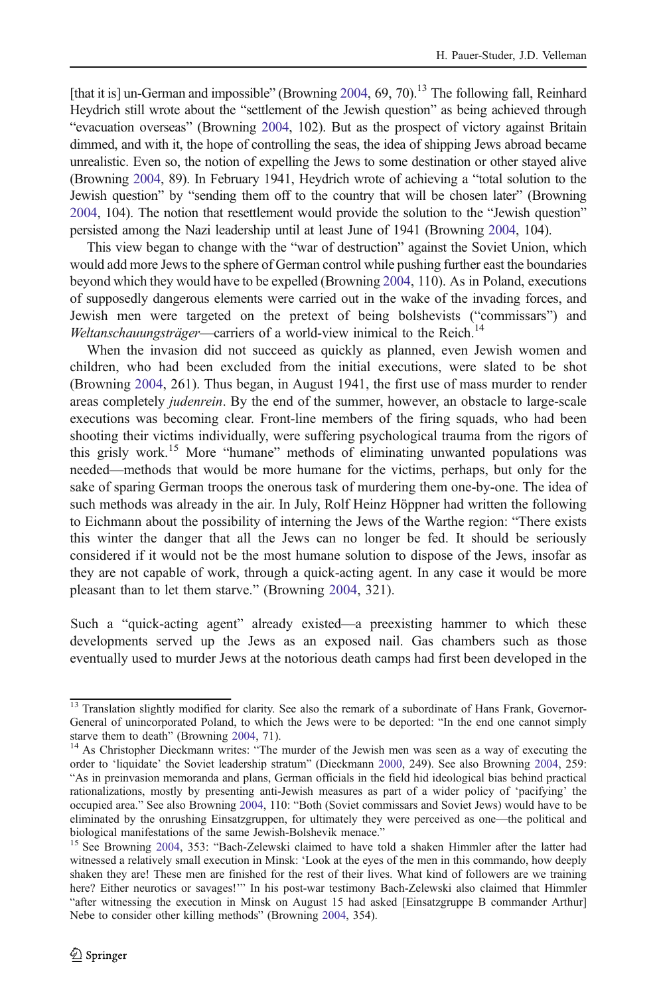[that it is] un-German and impossible" (Browning [2004,](#page-26-0) 69, 70).<sup>13</sup> The following fall, Reinhard Heydrich still wrote about the "settlement of the Jewish question" as being achieved through "evacuation overseas" (Browning [2004](#page-26-0), 102). But as the prospect of victory against Britain dimmed, and with it, the hope of controlling the seas, the idea of shipping Jews abroad became unrealistic. Even so, the notion of expelling the Jews to some destination or other stayed alive (Browning [2004,](#page-26-0) 89). In February 1941, Heydrich wrote of achieving a "total solution to the Jewish question" by "sending them off to the country that will be chosen later" (Browning [2004](#page-26-0), 104). The notion that resettlement would provide the solution to the "Jewish question" persisted among the Nazi leadership until at least June of 1941 (Browning [2004](#page-26-0), 104).

This view began to change with the "war of destruction" against the Soviet Union, which would add more Jews to the sphere of German control while pushing further east the boundaries beyond which they would have to be expelled (Browning [2004,](#page-26-0) 110). As in Poland, executions of supposedly dangerous elements were carried out in the wake of the invading forces, and Jewish men were targeted on the pretext of being bolshevists ("commissars") and Weltanschauungsträger—carriers of a world-view inimical to the Reich.<sup>14</sup>

When the invasion did not succeed as quickly as planned, even Jewish women and children, who had been excluded from the initial executions, were slated to be shot (Browning [2004](#page-26-0), 261). Thus began, in August 1941, the first use of mass murder to render areas completely *judenrein*. By the end of the summer, however, an obstacle to large-scale executions was becoming clear. Front-line members of the firing squads, who had been shooting their victims individually, were suffering psychological trauma from the rigors of this grisly work.15 More "humane" methods of eliminating unwanted populations was needed—methods that would be more humane for the victims, perhaps, but only for the sake of sparing German troops the onerous task of murdering them one-by-one. The idea of such methods was already in the air. In July, Rolf Heinz Höppner had written the following to Eichmann about the possibility of interning the Jews of the Warthe region: "There exists this winter the danger that all the Jews can no longer be fed. It should be seriously considered if it would not be the most humane solution to dispose of the Jews, insofar as they are not capable of work, through a quick-acting agent. In any case it would be more pleasant than to let them starve." (Browning [2004](#page-26-0), 321).

Such a "quick-acting agent" already existed—a preexisting hammer to which these developments served up the Jews as an exposed nail. Gas chambers such as those eventually used to murder Jews at the notorious death camps had first been developed in the

<sup>&</sup>lt;sup>13</sup> Translation slightly modified for clarity. See also the remark of a subordinate of Hans Frank, Governor-General of unincorporated Poland, to which the Jews were to be deported: "In the end one cannot simply starve them to death" (Browning [2004](#page-26-0), 71).<br><sup>14</sup> As Christopher Dieckmann writes: "The murder of the Jewish men was seen as a way of executing the

order to 'liquidate' the Soviet leadership stratum" (Dieckmann [2000](#page-26-0), 249). See also Browning [2004,](#page-26-0) 259: "As in preinvasion memoranda and plans, German officials in the field hid ideological bias behind practical rationalizations, mostly by presenting anti-Jewish measures as part of a wider policy of 'pacifying' the occupied area." See also Browning [2004](#page-26-0), 110: "Both (Soviet commissars and Soviet Jews) would have to be eliminated by the onrushing Einsatzgruppen, for ultimately they were perceived as one—the political and biological manifestations of the same Jewish-Bolshevik menace."<br><sup>15</sup> See Browning [2004](#page-26-0), 353: "Bach-Zelewski claimed to have told a shaken Himmler after the latter had

witnessed a relatively small execution in Minsk: 'Look at the eyes of the men in this commando, how deeply shaken they are! These men are finished for the rest of their lives. What kind of followers are we training here? Either neurotics or savages!'" In his post-war testimony Bach-Zelewski also claimed that Himmler "after witnessing the execution in Minsk on August 15 had asked [Einsatzgruppe B commander Arthur] Nebe to consider other killing methods" (Browning [2004,](#page-26-0) 354).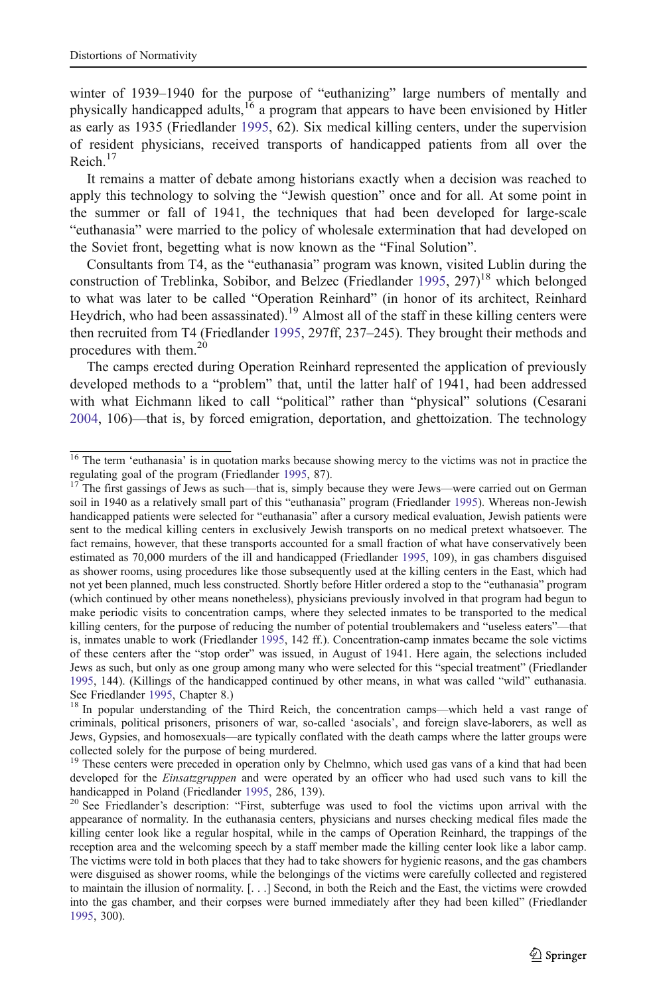winter of 1939–1940 for the purpose of "euthanizing" large numbers of mentally and physically handicapped adults, $16$  a program that appears to have been envisioned by Hitler as early as 1935 (Friedlander [1995,](#page-26-0) 62). Six medical killing centers, under the supervision of resident physicians, received transports of handicapped patients from all over the Reich.<sup>17</sup>

It remains a matter of debate among historians exactly when a decision was reached to apply this technology to solving the "Jewish question" once and for all. At some point in the summer or fall of 1941, the techniques that had been developed for large-scale "euthanasia" were married to the policy of wholesale extermination that had developed on the Soviet front, begetting what is now known as the "Final Solution".

Consultants from T4, as the "euthanasia" program was known, visited Lublin during the construction of Treblinka, Sobibor, and Belzec (Friedlander [1995](#page-26-0),  $297$ )<sup>18</sup> which belonged to what was later to be called "Operation Reinhard" (in honor of its architect, Reinhard Heydrich, who had been assassinated).<sup>19</sup> Almost all of the staff in these killing centers were then recruited from T4 (Friedlander [1995](#page-26-0), 297ff, 237–245). They brought their methods and procedures with them. $20$ 

The camps erected during Operation Reinhard represented the application of previously developed methods to a "problem" that, until the latter half of 1941, had been addressed with what Eichmann liked to call "political" rather than "physical" solutions (Cesarani [2004,](#page-26-0) 106)—that is, by forced emigration, deportation, and ghettoization. The technology

 $16$  The term 'euthanasia' is in quotation marks because showing mercy to the victims was not in practice the regulating goal of the program (Friedlander [1995](#page-26-0), 87).<br><sup>17</sup> The first gassings of Jews as such—that is, simply because they were Jews—were carried out on German

soil in 1940 as a relatively small part of this "euthanasia" program (Friedlander [1995\)](#page-26-0). Whereas non-Jewish handicapped patients were selected for "euthanasia" after a cursory medical evaluation, Jewish patients were sent to the medical killing centers in exclusively Jewish transports on no medical pretext whatsoever. The fact remains, however, that these transports accounted for a small fraction of what have conservatively been estimated as 70,000 murders of the ill and handicapped (Friedlander [1995,](#page-26-0) 109), in gas chambers disguised as shower rooms, using procedures like those subsequently used at the killing centers in the East, which had not yet been planned, much less constructed. Shortly before Hitler ordered a stop to the "euthanasia" program (which continued by other means nonetheless), physicians previously involved in that program had begun to make periodic visits to concentration camps, where they selected inmates to be transported to the medical killing centers, for the purpose of reducing the number of potential troublemakers and "useless eaters"—that is, inmates unable to work (Friedlander [1995](#page-26-0), 142 ff.). Concentration-camp inmates became the sole victims of these centers after the "stop order" was issued, in August of 1941. Here again, the selections included Jews as such, but only as one group among many who were selected for this "special treatment" (Friedlander [1995,](#page-26-0) 144). (Killings of the handicapped continued by other means, in what was called "wild" euthanasia.

<sup>&</sup>lt;sup>18</sup> In popular understanding of the Third Reich, the concentration camps—which held a vast range of criminals, political prisoners, prisoners of war, so-called 'asocials', and foreign slave-laborers, as well as Jews, Gypsies, and homosexuals—are typically conflated with the death camps where the latter groups were collected solely for the purpose of being murdered.

<sup>&</sup>lt;sup>19</sup> These centers were preceded in operation only by Chelmno, which used gas vans of a kind that had been developed for the *Einsatzgruppen* and were operated by an officer who had used such vans to kill the handicapped in Poland (Friedlander [1995,](#page-26-0) 286, 139).<br><sup>20</sup> See Friedlander's description: "First, subterfuge was used to fool the victims upon arrival with the

appearance of normality. In the euthanasia centers, physicians and nurses checking medical files made the killing center look like a regular hospital, while in the camps of Operation Reinhard, the trappings of the reception area and the welcoming speech by a staff member made the killing center look like a labor camp. The victims were told in both places that they had to take showers for hygienic reasons, and the gas chambers were disguised as shower rooms, while the belongings of the victims were carefully collected and registered to maintain the illusion of normality. [. . .] Second, in both the Reich and the East, the victims were crowded into the gas chamber, and their corpses were burned immediately after they had been killed" (Friedlander [1995,](#page-26-0) 300).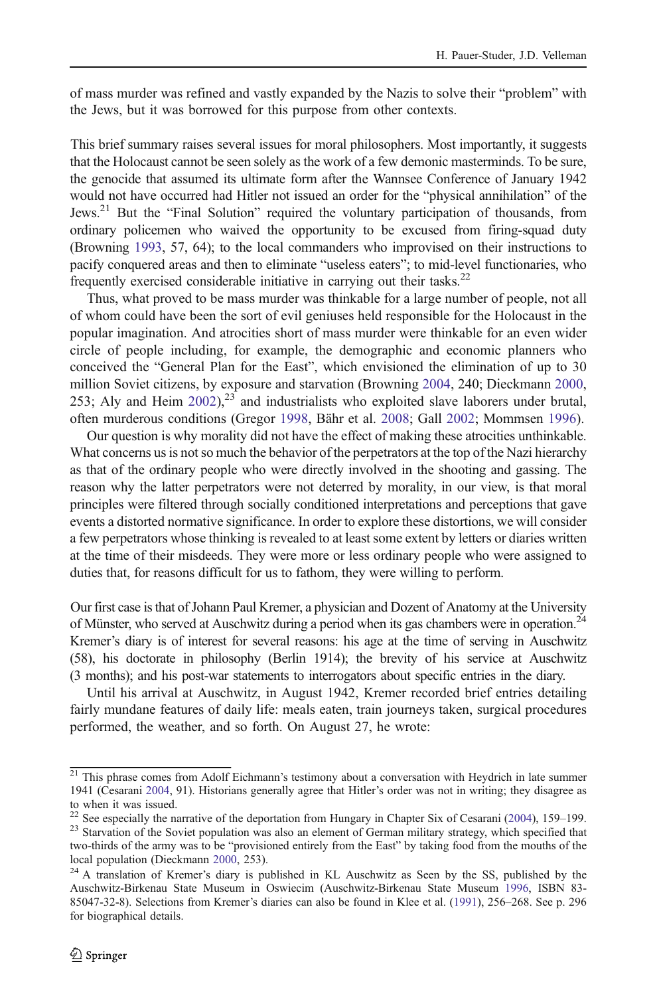of mass murder was refined and vastly expanded by the Nazis to solve their "problem" with the Jews, but it was borrowed for this purpose from other contexts.

This brief summary raises several issues for moral philosophers. Most importantly, it suggests that the Holocaust cannot be seen solely as the work of a few demonic masterminds. To be sure, the genocide that assumed its ultimate form after the Wannsee Conference of January 1942 would not have occurred had Hitler not issued an order for the "physical annihilation" of the Jews.<sup>21</sup> But the "Final Solution" required the voluntary participation of thousands, from ordinary policemen who waived the opportunity to be excused from firing-squad duty (Browning [1993](#page-26-0), 57, 64); to the local commanders who improvised on their instructions to pacify conquered areas and then to eliminate "useless eaters"; to mid-level functionaries, who frequently exercised considerable initiative in carrying out their tasks.<sup>22</sup>

Thus, what proved to be mass murder was thinkable for a large number of people, not all of whom could have been the sort of evil geniuses held responsible for the Holocaust in the popular imagination. And atrocities short of mass murder were thinkable for an even wider circle of people including, for example, the demographic and economic planners who conceived the "General Plan for the East", which envisioned the elimination of up to 30 million Soviet citizens, by exposure and starvation (Browning [2004,](#page-26-0) 240; Dieckmann [2000](#page-26-0), 253; Aly and Heim  $2002$ ,<sup>23</sup> and industrialists who exploited slave laborers under brutal, often murderous conditions (Gregor [1998](#page-26-0), Bähr et al. [2008;](#page-26-0) Gall [2002;](#page-26-0) Mommsen [1996\)](#page-27-0).

Our question is why morality did not have the effect of making these atrocities unthinkable. What concerns us is not so much the behavior of the perpetrators at the top of the Nazi hierarchy as that of the ordinary people who were directly involved in the shooting and gassing. The reason why the latter perpetrators were not deterred by morality, in our view, is that moral principles were filtered through socially conditioned interpretations and perceptions that gave events a distorted normative significance. In order to explore these distortions, we will consider a few perpetrators whose thinking is revealed to at least some extent by letters or diaries written at the time of their misdeeds. They were more or less ordinary people who were assigned to duties that, for reasons difficult for us to fathom, they were willing to perform.

Our first case is that of Johann Paul Kremer, a physician and Dozent of Anatomy at the University of Münster, who served at Auschwitz during a period when its gas chambers were in operation.<sup>24</sup> Kremer's diary is of interest for several reasons: his age at the time of serving in Auschwitz (58), his doctorate in philosophy (Berlin 1914); the brevity of his service at Auschwitz (3 months); and his post-war statements to interrogators about specific entries in the diary.

Until his arrival at Auschwitz, in August 1942, Kremer recorded brief entries detailing fairly mundane features of daily life: meals eaten, train journeys taken, surgical procedures performed, the weather, and so forth. On August 27, he wrote:

 $21$  This phrase comes from Adolf Eichmann's testimony about a conversation with Heydrich in late summer 1941 (Cesarani [2004,](#page-26-0) 91). Historians generally agree that Hitler's order was not in writing; they disagree as to when it was issued.

<sup>&</sup>lt;sup>22</sup> See especially the narrative of the deportation from Hungary in Chapter Six of Cesarani [\(2004\)](#page-26-0), 159–199.<br><sup>23</sup> Starvation of the Soviet population was also an element of German military strategy, which specified that two-thirds of the army was to be "provisioned entirely from the East" by taking food from the mouths of the local population (Dieckmann [2000](#page-26-0), 253).

<sup>&</sup>lt;sup>24</sup> A translation of Kremer's diary is published in KL Auschwitz as Seen by the SS, published by the Auschwitz-Birkenau State Museum in Oswiecim (Auschwitz-Birkenau State Museum [1996,](#page-26-0) ISBN 83- 85047-32-8). Selections from Kremer's diaries can also be found in Klee et al. ([1991](#page-26-0)), 256–268. See p. 296 for biographical details.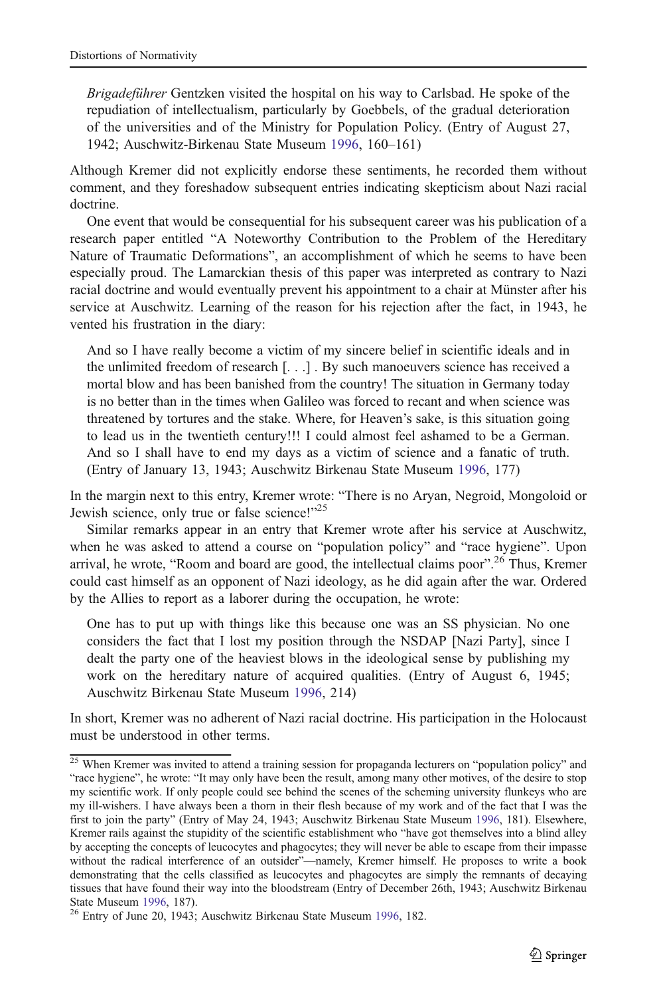Brigadeführer Gentzken visited the hospital on his way to Carlsbad. He spoke of the repudiation of intellectualism, particularly by Goebbels, of the gradual deterioration of the universities and of the Ministry for Population Policy. (Entry of August 27, 1942; Auschwitz-Birkenau State Museum [1996](#page-26-0), 160–161)

Although Kremer did not explicitly endorse these sentiments, he recorded them without comment, and they foreshadow subsequent entries indicating skepticism about Nazi racial doctrine.

One event that would be consequential for his subsequent career was his publication of a research paper entitled "A Noteworthy Contribution to the Problem of the Hereditary Nature of Traumatic Deformations", an accomplishment of which he seems to have been especially proud. The Lamarckian thesis of this paper was interpreted as contrary to Nazi racial doctrine and would eventually prevent his appointment to a chair at Münster after his service at Auschwitz. Learning of the reason for his rejection after the fact, in 1943, he vented his frustration in the diary:

And so I have really become a victim of my sincere belief in scientific ideals and in the unlimited freedom of research [. . .] . By such manoeuvers science has received a mortal blow and has been banished from the country! The situation in Germany today is no better than in the times when Galileo was forced to recant and when science was threatened by tortures and the stake. Where, for Heaven's sake, is this situation going to lead us in the twentieth century!!! I could almost feel ashamed to be a German. And so I shall have to end my days as a victim of science and a fanatic of truth. (Entry of January 13, 1943; Auschwitz Birkenau State Museum [1996](#page-26-0), 177)

In the margin next to this entry, Kremer wrote: "There is no Aryan, Negroid, Mongoloid or Jewish science, only true or false science!"<sup>25</sup>

Similar remarks appear in an entry that Kremer wrote after his service at Auschwitz, when he was asked to attend a course on "population policy" and "race hygiene". Upon arrival, he wrote, "Room and board are good, the intellectual claims poor".<sup>26</sup> Thus, Kremer could cast himself as an opponent of Nazi ideology, as he did again after the war. Ordered by the Allies to report as a laborer during the occupation, he wrote:

One has to put up with things like this because one was an SS physician. No one considers the fact that I lost my position through the NSDAP [Nazi Party], since I dealt the party one of the heaviest blows in the ideological sense by publishing my work on the hereditary nature of acquired qualities. (Entry of August 6, 1945; Auschwitz Birkenau State Museum [1996,](#page-26-0) 214)

In short, Kremer was no adherent of Nazi racial doctrine. His participation in the Holocaust must be understood in other terms.

 $25$  When Kremer was invited to attend a training session for propaganda lecturers on "population policy" and "race hygiene", he wrote: "It may only have been the result, among many other motives, of the desire to stop my scientific work. If only people could see behind the scenes of the scheming university flunkeys who are my ill-wishers. I have always been a thorn in their flesh because of my work and of the fact that I was the first to join the party" (Entry of May 24, 1943; Auschwitz Birkenau State Museum [1996](#page-26-0), 181). Elsewhere, Kremer rails against the stupidity of the scientific establishment who "have got themselves into a blind alley by accepting the concepts of leucocytes and phagocytes; they will never be able to escape from their impasse without the radical interference of an outsider"—namely, Kremer himself. He proposes to write a book demonstrating that the cells classified as leucocytes and phagocytes are simply the remnants of decaying tissues that have found their way into the bloodstream (Entry of December 26th, 1943; Auschwitz Birkenau State Museum [1996](#page-26-0), 187). <sup>26</sup> Entry of June 20, 1943; Auschwitz Birkenau State Museum [1996](#page-26-0), 182.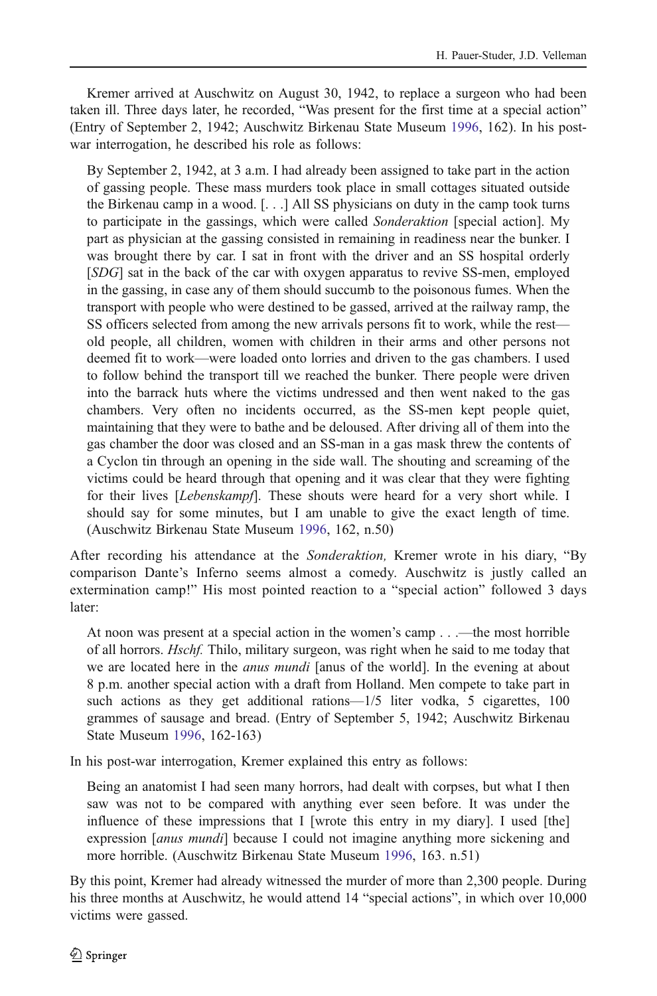Kremer arrived at Auschwitz on August 30, 1942, to replace a surgeon who had been taken ill. Three days later, he recorded, "Was present for the first time at a special action" (Entry of September 2, 1942; Auschwitz Birkenau State Museum [1996](#page-26-0), 162). In his postwar interrogation, he described his role as follows:

By September 2, 1942, at 3 a.m. I had already been assigned to take part in the action of gassing people. These mass murders took place in small cottages situated outside the Birkenau camp in a wood. [. . .] All SS physicians on duty in the camp took turns to participate in the gassings, which were called *Sonderaktion* [special action]. My part as physician at the gassing consisted in remaining in readiness near the bunker. I was brought there by car. I sat in front with the driver and an SS hospital orderly [SDG] sat in the back of the car with oxygen apparatus to revive SS-men, employed in the gassing, in case any of them should succumb to the poisonous fumes. When the transport with people who were destined to be gassed, arrived at the railway ramp, the SS officers selected from among the new arrivals persons fit to work, while the rest old people, all children, women with children in their arms and other persons not deemed fit to work—were loaded onto lorries and driven to the gas chambers. I used to follow behind the transport till we reached the bunker. There people were driven into the barrack huts where the victims undressed and then went naked to the gas chambers. Very often no incidents occurred, as the SS-men kept people quiet, maintaining that they were to bathe and be deloused. After driving all of them into the gas chamber the door was closed and an SS-man in a gas mask threw the contents of a Cyclon tin through an opening in the side wall. The shouting and screaming of the victims could be heard through that opening and it was clear that they were fighting for their lives [Lebenskampf]. These shouts were heard for a very short while. I should say for some minutes, but I am unable to give the exact length of time. (Auschwitz Birkenau State Museum [1996,](#page-26-0) 162, n.50)

After recording his attendance at the Sonderaktion, Kremer wrote in his diary, "By comparison Dante's Inferno seems almost a comedy. Auschwitz is justly called an extermination camp!" His most pointed reaction to a "special action" followed 3 days later:

At noon was present at a special action in the women's camp . . .—the most horrible of all horrors. Hschf. Thilo, military surgeon, was right when he said to me today that we are located here in the *anus mundi* [anus of the world]. In the evening at about 8 p.m. another special action with a draft from Holland. Men compete to take part in such actions as they get additional rations—1/5 liter vodka, 5 cigarettes, 100 grammes of sausage and bread. (Entry of September 5, 1942; Auschwitz Birkenau State Museum [1996,](#page-26-0) 162-163)

In his post-war interrogation, Kremer explained this entry as follows:

Being an anatomist I had seen many horrors, had dealt with corpses, but what I then saw was not to be compared with anything ever seen before. It was under the influence of these impressions that I [wrote this entry in my diary]. I used [the] expression [anus mundi] because I could not imagine anything more sickening and more horrible. (Auschwitz Birkenau State Museum [1996,](#page-26-0) 163. n.51)

By this point, Kremer had already witnessed the murder of more than 2,300 people. During his three months at Auschwitz, he would attend 14 "special actions", in which over 10,000 victims were gassed.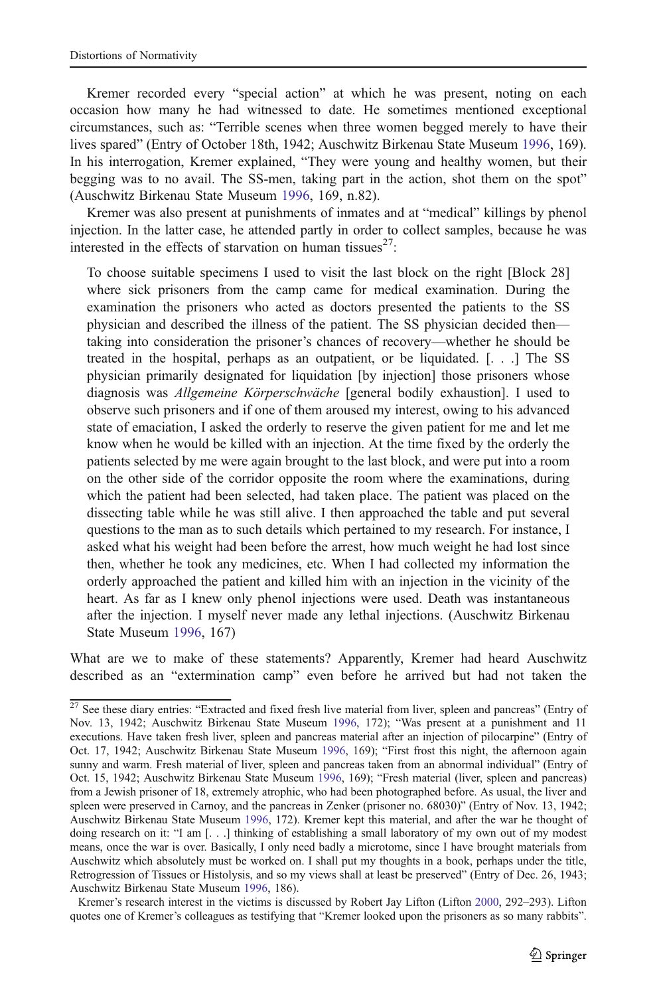Kremer recorded every "special action" at which he was present, noting on each occasion how many he had witnessed to date. He sometimes mentioned exceptional circumstances, such as: "Terrible scenes when three women begged merely to have their lives spared" (Entry of October 18th, 1942; Auschwitz Birkenau State Museum [1996](#page-26-0), 169). In his interrogation, Kremer explained, "They were young and healthy women, but their begging was to no avail. The SS-men, taking part in the action, shot them on the spot" (Auschwitz Birkenau State Museum [1996](#page-26-0), 169, n.82).

Kremer was also present at punishments of inmates and at "medical" killings by phenol injection. In the latter case, he attended partly in order to collect samples, because he was interested in the effects of starvation on human tissues<sup>27</sup>:

To choose suitable specimens I used to visit the last block on the right [Block 28] where sick prisoners from the camp came for medical examination. During the examination the prisoners who acted as doctors presented the patients to the SS physician and described the illness of the patient. The SS physician decided then taking into consideration the prisoner's chances of recovery—whether he should be treated in the hospital, perhaps as an outpatient, or be liquidated. [. . .] The SS physician primarily designated for liquidation [by injection] those prisoners whose diagnosis was Allgemeine Körperschwäche [general bodily exhaustion]. I used to observe such prisoners and if one of them aroused my interest, owing to his advanced state of emaciation, I asked the orderly to reserve the given patient for me and let me know when he would be killed with an injection. At the time fixed by the orderly the patients selected by me were again brought to the last block, and were put into a room on the other side of the corridor opposite the room where the examinations, during which the patient had been selected, had taken place. The patient was placed on the dissecting table while he was still alive. I then approached the table and put several questions to the man as to such details which pertained to my research. For instance, I asked what his weight had been before the arrest, how much weight he had lost since then, whether he took any medicines, etc. When I had collected my information the orderly approached the patient and killed him with an injection in the vicinity of the heart. As far as I knew only phenol injections were used. Death was instantaneous after the injection. I myself never made any lethal injections. (Auschwitz Birkenau State Museum [1996,](#page-26-0) 167)

What are we to make of these statements? Apparently, Kremer had heard Auschwitz described as an "extermination camp" even before he arrived but had not taken the

 $27$  See these diary entries: "Extracted and fixed fresh live material from liver, spleen and pancreas" (Entry of Nov. 13, 1942; Auschwitz Birkenau State Museum [1996,](#page-26-0) 172); "Was present at a punishment and 11 executions. Have taken fresh liver, spleen and pancreas material after an injection of pilocarpine" (Entry of Oct. 17, 1942; Auschwitz Birkenau State Museum [1996](#page-26-0), 169); "First frost this night, the afternoon again sunny and warm. Fresh material of liver, spleen and pancreas taken from an abnormal individual" (Entry of Oct. 15, 1942; Auschwitz Birkenau State Museum [1996,](#page-26-0) 169); "Fresh material (liver, spleen and pancreas) from a Jewish prisoner of 18, extremely atrophic, who had been photographed before. As usual, the liver and spleen were preserved in Carnoy, and the pancreas in Zenker (prisoner no. 68030)" (Entry of Nov. 13, 1942; Auschwitz Birkenau State Museum [1996,](#page-26-0) 172). Kremer kept this material, and after the war he thought of doing research on it: "I am [. . .] thinking of establishing a small laboratory of my own out of my modest means, once the war is over. Basically, I only need badly a microtome, since I have brought materials from Auschwitz which absolutely must be worked on. I shall put my thoughts in a book, perhaps under the title, Retrogression of Tissues or Histolysis, and so my views shall at least be preserved" (Entry of Dec. 26, 1943; Auschwitz Birkenau State Museum [1996](#page-26-0), 186).

Kremer's research interest in the victims is discussed by Robert Jay Lifton (Lifton [2000,](#page-26-0) 292–293). Lifton quotes one of Kremer's colleagues as testifying that "Kremer looked upon the prisoners as so many rabbits".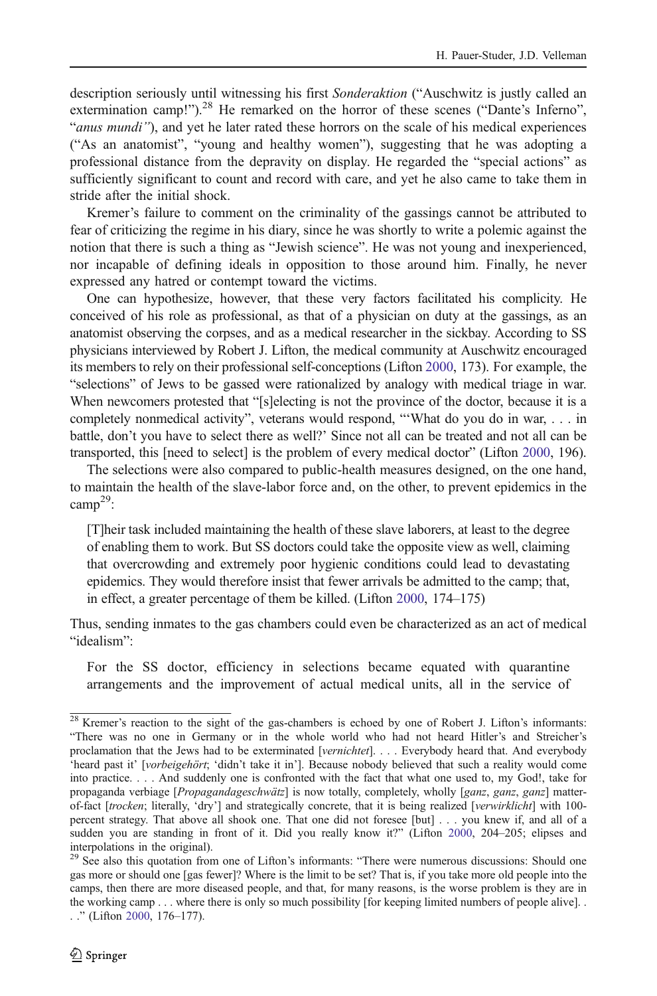description seriously until witnessing his first Sonderaktion ("Auschwitz is justly called an extermination camp!").<sup>28</sup> He remarked on the horror of these scenes ("Dante's Inferno", "anus mundi"), and yet he later rated these horrors on the scale of his medical experiences ("As an anatomist", "young and healthy women"), suggesting that he was adopting a professional distance from the depravity on display. He regarded the "special actions" as sufficiently significant to count and record with care, and yet he also came to take them in stride after the initial shock.

Kremer's failure to comment on the criminality of the gassings cannot be attributed to fear of criticizing the regime in his diary, since he was shortly to write a polemic against the notion that there is such a thing as "Jewish science". He was not young and inexperienced, nor incapable of defining ideals in opposition to those around him. Finally, he never expressed any hatred or contempt toward the victims.

One can hypothesize, however, that these very factors facilitated his complicity. He conceived of his role as professional, as that of a physician on duty at the gassings, as an anatomist observing the corpses, and as a medical researcher in the sickbay. According to SS physicians interviewed by Robert J. Lifton, the medical community at Auschwitz encouraged its members to rely on their professional self-conceptions (Lifton [2000](#page-26-0), 173). For example, the "selections" of Jews to be gassed were rationalized by analogy with medical triage in war. When newcomers protested that "[s]electing is not the province of the doctor, because it is a completely nonmedical activity", veterans would respond, "'What do you do in war, . . . in battle, don't you have to select there as well?' Since not all can be treated and not all can be transported, this [need to select] is the problem of every medical doctor" (Lifton [2000](#page-26-0), 196).

The selections were also compared to public-health measures designed, on the one hand, to maintain the health of the slave-labor force and, on the other, to prevent epidemics in the camp<sup>29</sup>:

[T]heir task included maintaining the health of these slave laborers, at least to the degree of enabling them to work. But SS doctors could take the opposite view as well, claiming that overcrowding and extremely poor hygienic conditions could lead to devastating epidemics. They would therefore insist that fewer arrivals be admitted to the camp; that, in effect, a greater percentage of them be killed. (Lifton [2000,](#page-26-0) 174–175)

Thus, sending inmates to the gas chambers could even be characterized as an act of medical "idealism":

For the SS doctor, efficiency in selections became equated with quarantine arrangements and the improvement of actual medical units, all in the service of

 $28$  Kremer's reaction to the sight of the gas-chambers is echoed by one of Robert J. Lifton's informants: "There was no one in Germany or in the whole world who had not heard Hitler's and Streicher's proclamation that the Jews had to be exterminated [vernichtet]. . . . Everybody heard that. And everybody 'heard past it' [vorbeigehört; 'didn't take it in']. Because nobody believed that such a reality would come into practice. . . . And suddenly one is confronted with the fact that what one used to, my God!, take for propaganda verbiage [*Propagandageschwätz*] is now totally, completely, wholly [*ganz*, *ganz*, *ganz*] matterof-fact [trocken; literally, 'dry'] and strategically concrete, that it is being realized [verwirklicht] with 100percent strategy. That above all shook one. That one did not foresee [but] . . . you knew if, and all of a sudden you are standing in front of it. Did you really know it?" (Lifton [2000,](#page-26-0) 204–205; elipses and interpolations in the original).

<sup>&</sup>lt;sup>29</sup> See also this quotation from one of Lifton's informants: "There were numerous discussions: Should one gas more or should one [gas fewer]? Where is the limit to be set? That is, if you take more old people into the camps, then there are more diseased people, and that, for many reasons, is the worse problem is they are in the working camp . . . where there is only so much possibility [for keeping limited numbers of people alive]. . . ." (Lifton [2000](#page-26-0), 176–177).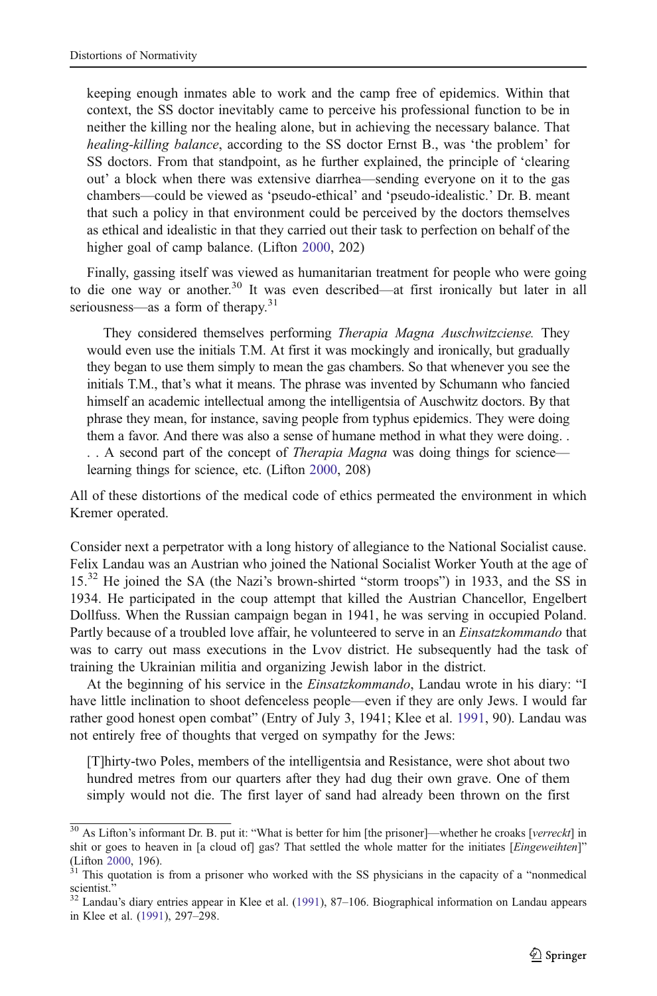keeping enough inmates able to work and the camp free of epidemics. Within that context, the SS doctor inevitably came to perceive his professional function to be in neither the killing nor the healing alone, but in achieving the necessary balance. That healing-killing balance, according to the SS doctor Ernst B., was 'the problem' for SS doctors. From that standpoint, as he further explained, the principle of 'clearing out' a block when there was extensive diarrhea—sending everyone on it to the gas chambers—could be viewed as 'pseudo-ethical' and 'pseudo-idealistic.' Dr. B. meant that such a policy in that environment could be perceived by the doctors themselves as ethical and idealistic in that they carried out their task to perfection on behalf of the higher goal of camp balance. (Lifton [2000](#page-26-0), 202)

Finally, gassing itself was viewed as humanitarian treatment for people who were going to die one way or another.<sup>30</sup> It was even described—at first ironically but later in all seriousness—as a form of therapy. $31$ 

They considered themselves performing Therapia Magna Auschwitzciense. They would even use the initials T.M. At first it was mockingly and ironically, but gradually they began to use them simply to mean the gas chambers. So that whenever you see the initials T.M., that's what it means. The phrase was invented by Schumann who fancied himself an academic intellectual among the intelligentsia of Auschwitz doctors. By that phrase they mean, for instance, saving people from typhus epidemics. They were doing them a favor. And there was also a sense of humane method in what they were doing. . .. A second part of the concept of *Therapia Magna* was doing things for science learning things for science, etc. (Lifton [2000,](#page-26-0) 208)

All of these distortions of the medical code of ethics permeated the environment in which Kremer operated.

Consider next a perpetrator with a long history of allegiance to the National Socialist cause. Felix Landau was an Austrian who joined the National Socialist Worker Youth at the age of 15.<sup>32</sup> He joined the SA (the Nazi's brown-shirted "storm troops") in 1933, and the SS in 1934. He participated in the coup attempt that killed the Austrian Chancellor, Engelbert Dollfuss. When the Russian campaign began in 1941, he was serving in occupied Poland. Partly because of a troubled love affair, he volunteered to serve in an *Einsatzkommando* that was to carry out mass executions in the Lvov district. He subsequently had the task of training the Ukrainian militia and organizing Jewish labor in the district.

At the beginning of his service in the *Einsatzkommando*, Landau wrote in his diary: "I have little inclination to shoot defenceless people—even if they are only Jews. I would far rather good honest open combat" (Entry of July 3, 1941; Klee et al. [1991,](#page-26-0) 90). Landau was not entirely free of thoughts that verged on sympathy for the Jews:

[T]hirty-two Poles, members of the intelligentsia and Resistance, were shot about two hundred metres from our quarters after they had dug their own grave. One of them simply would not die. The first layer of sand had already been thrown on the first

<sup>&</sup>lt;sup>30</sup> As Lifton's informant Dr. B. put it: "What is better for him [the prisoner]—whether he croaks [verreckt] in shit or goes to heaven in [a cloud of] gas? That settled the whole matter for the initiates [Eingeweihten]"

<sup>(</sup>Lifton [2000](#page-26-0), 196).  $31$  This quotation is from a prisoner who worked with the SS physicians in the capacity of a "nonmedical scientist."

 $32$  Landau's diary entries appear in Klee et al. [\(1991](#page-26-0)), 87–106. Biographical information on Landau appears in Klee et al. [\(1991\)](#page-26-0), 297–298.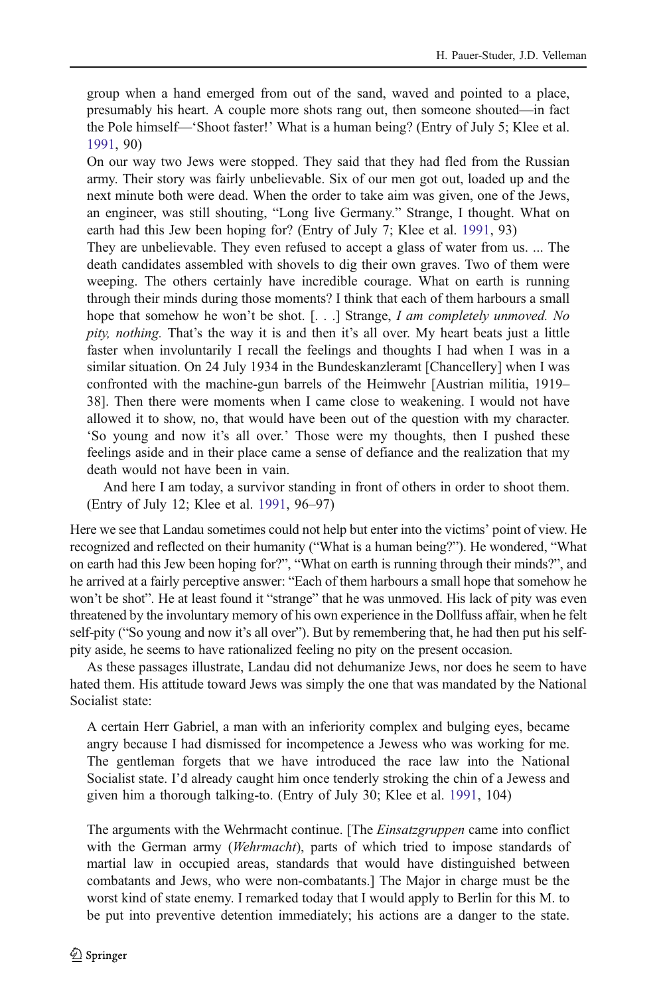group when a hand emerged from out of the sand, waved and pointed to a place, presumably his heart. A couple more shots rang out, then someone shouted—in fact the Pole himself—'Shoot faster!' What is a human being? (Entry of July 5; Klee et al. [1991](#page-26-0), 90)

On our way two Jews were stopped. They said that they had fled from the Russian army. Their story was fairly unbelievable. Six of our men got out, loaded up and the next minute both were dead. When the order to take aim was given, one of the Jews, an engineer, was still shouting, "Long live Germany." Strange, I thought. What on earth had this Jew been hoping for? (Entry of July 7; Klee et al. [1991,](#page-26-0) 93)

They are unbelievable. They even refused to accept a glass of water from us. ... The death candidates assembled with shovels to dig their own graves. Two of them were weeping. The others certainly have incredible courage. What on earth is running through their minds during those moments? I think that each of them harbours a small hope that somehow he won't be shot. [...] Strange, I am completely unmoved. No pity, nothing. That's the way it is and then it's all over. My heart beats just a little faster when involuntarily I recall the feelings and thoughts I had when I was in a similar situation. On 24 July 1934 in the Bundeskanzleramt [Chancellery] when I was confronted with the machine-gun barrels of the Heimwehr [Austrian militia, 1919– 38]. Then there were moments when I came close to weakening. I would not have allowed it to show, no, that would have been out of the question with my character. 'So young and now it's all over.' Those were my thoughts, then I pushed these feelings aside and in their place came a sense of defiance and the realization that my death would not have been in vain.

And here I am today, a survivor standing in front of others in order to shoot them. (Entry of July 12; Klee et al. [1991,](#page-26-0) 96–97)

Here we see that Landau sometimes could not help but enter into the victims' point of view. He recognized and reflected on their humanity ("What is a human being?"). He wondered, "What on earth had this Jew been hoping for?", "What on earth is running through their minds?", and he arrived at a fairly perceptive answer: "Each of them harbours a small hope that somehow he won't be shot". He at least found it "strange" that he was unmoved. His lack of pity was even threatened by the involuntary memory of his own experience in the Dollfuss affair, when he felt self-pity ("So young and now it's all over"). But by remembering that, he had then put his selfpity aside, he seems to have rationalized feeling no pity on the present occasion.

As these passages illustrate, Landau did not dehumanize Jews, nor does he seem to have hated them. His attitude toward Jews was simply the one that was mandated by the National Socialist state:

A certain Herr Gabriel, a man with an inferiority complex and bulging eyes, became angry because I had dismissed for incompetence a Jewess who was working for me. The gentleman forgets that we have introduced the race law into the National Socialist state. I'd already caught him once tenderly stroking the chin of a Jewess and given him a thorough talking-to. (Entry of July 30; Klee et al. [1991,](#page-26-0) 104)

The arguments with the Wehrmacht continue. [The *Einsatzgruppen* came into conflict with the German army (Wehrmacht), parts of which tried to impose standards of martial law in occupied areas, standards that would have distinguished between combatants and Jews, who were non-combatants.] The Major in charge must be the worst kind of state enemy. I remarked today that I would apply to Berlin for this M. to be put into preventive detention immediately; his actions are a danger to the state.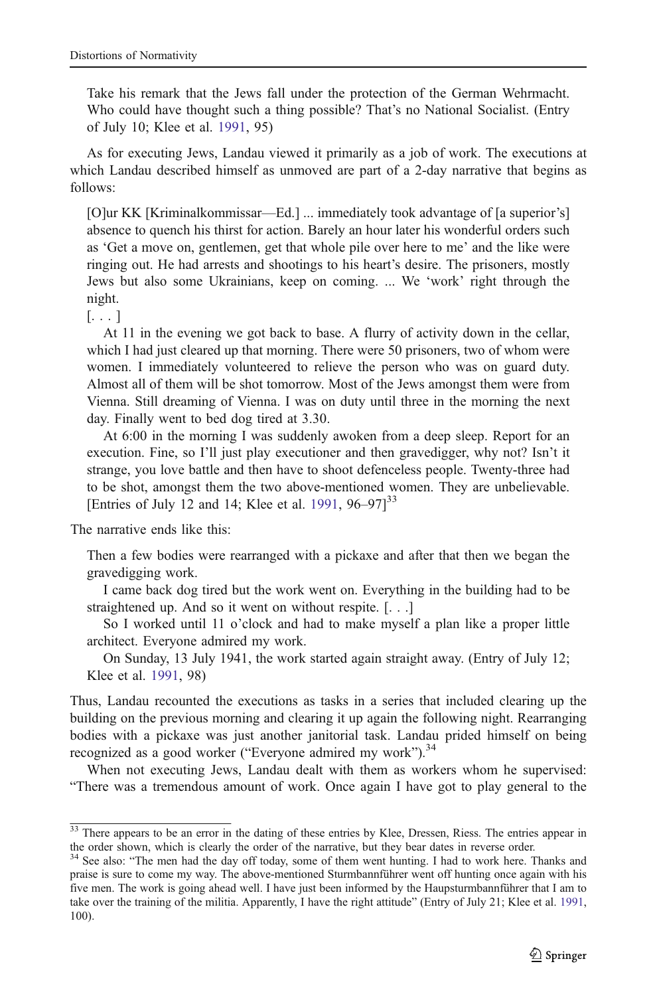Take his remark that the Jews fall under the protection of the German Wehrmacht. Who could have thought such a thing possible? That's no National Socialist. (Entry of July 10; Klee et al. [1991,](#page-26-0) 95)

As for executing Jews, Landau viewed it primarily as a job of work. The executions at which Landau described himself as unmoved are part of a 2-day narrative that begins as follows:

[O]ur KK [Kriminalkommissar—Ed.] ... immediately took advantage of [a superior's] absence to quench his thirst for action. Barely an hour later his wonderful orders such as 'Get a move on, gentlemen, get that whole pile over here to me' and the like were ringing out. He had arrests and shootings to his heart's desire. The prisoners, mostly Jews but also some Ukrainians, keep on coming. ... We 'work' right through the night.

 $\left[ \ldots \right]$ 

At 11 in the evening we got back to base. A flurry of activity down in the cellar, which I had just cleared up that morning. There were 50 prisoners, two of whom were women. I immediately volunteered to relieve the person who was on guard duty. Almost all of them will be shot tomorrow. Most of the Jews amongst them were from Vienna. Still dreaming of Vienna. I was on duty until three in the morning the next day. Finally went to bed dog tired at 3.30.

At 6:00 in the morning I was suddenly awoken from a deep sleep. Report for an execution. Fine, so I'll just play executioner and then gravedigger, why not? Isn't it strange, you love battle and then have to shoot defenceless people. Twenty-three had to be shot, amongst them the two above-mentioned women. They are unbelievable. [Entries of July 12 and 14; Klee et al. [1991,](#page-26-0)  $96-97$ ]<sup>33</sup>

The narrative ends like this:

Then a few bodies were rearranged with a pickaxe and after that then we began the gravedigging work.

I came back dog tired but the work went on. Everything in the building had to be straightened up. And so it went on without respite. [. . .]

So I worked until 11 o'clock and had to make myself a plan like a proper little architect. Everyone admired my work.

On Sunday, 13 July 1941, the work started again straight away. (Entry of July 12; Klee et al. [1991,](#page-26-0) 98)

Thus, Landau recounted the executions as tasks in a series that included clearing up the building on the previous morning and clearing it up again the following night. Rearranging bodies with a pickaxe was just another janitorial task. Landau prided himself on being recognized as a good worker ("Everyone admired my work").<sup>34</sup>

When not executing Jews, Landau dealt with them as workers whom he supervised: "There was a tremendous amount of work. Once again I have got to play general to the

<sup>&</sup>lt;sup>33</sup> There appears to be an error in the dating of these entries by Klee, Dressen, Riess. The entries appear in the order shown, which is clearly the order of the narrative, but they bear dates in reverse order.

<sup>&</sup>lt;sup>34</sup> See also: "The men had the day off today, some of them went hunting. I had to work here. Thanks and praise is sure to come my way. The above-mentioned Sturmbannführer went off hunting once again with his five men. The work is going ahead well. I have just been informed by the Haupsturmbannführer that I am to take over the training of the militia. Apparently, I have the right attitude" (Entry of July 21; Klee et al. [1991,](#page-26-0) 100).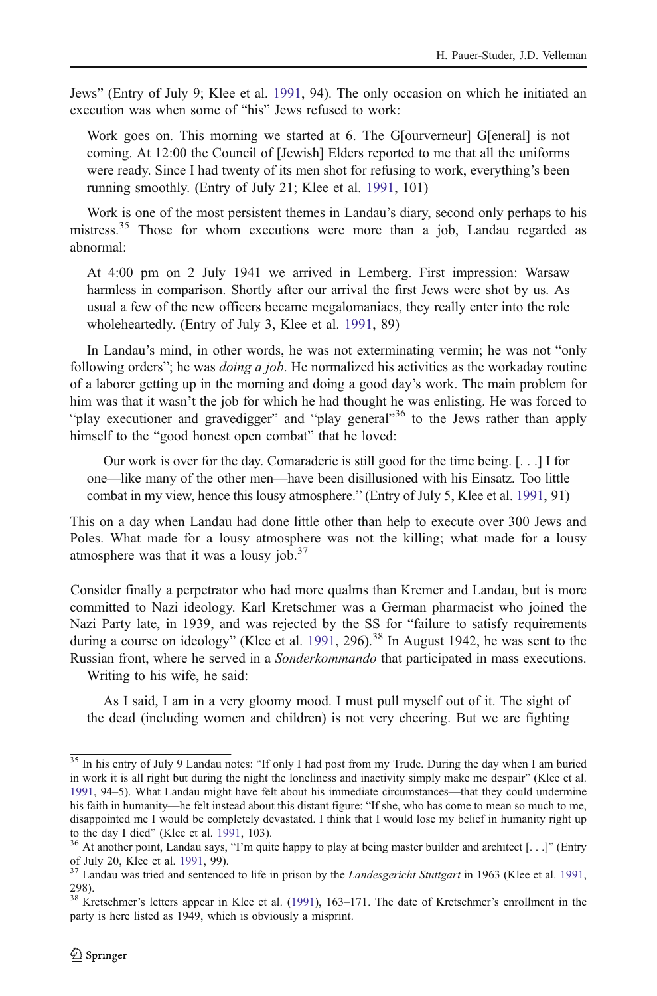Jews" (Entry of July 9; Klee et al. [1991,](#page-26-0) 94). The only occasion on which he initiated an execution was when some of "his" Jews refused to work:

Work goes on. This morning we started at 6. The G[ourverneur] G[eneral] is not coming. At 12:00 the Council of [Jewish] Elders reported to me that all the uniforms were ready. Since I had twenty of its men shot for refusing to work, everything's been running smoothly. (Entry of July 21; Klee et al. [1991,](#page-26-0) 101)

Work is one of the most persistent themes in Landau's diary, second only perhaps to his mistress.<sup>35</sup> Those for whom executions were more than a job, Landau regarded as abnormal:

At 4:00 pm on 2 July 1941 we arrived in Lemberg. First impression: Warsaw harmless in comparison. Shortly after our arrival the first Jews were shot by us. As usual a few of the new officers became megalomaniacs, they really enter into the role wholeheartedly. (Entry of July 3, Klee et al. [1991](#page-26-0), 89)

In Landau's mind, in other words, he was not exterminating vermin; he was not "only following orders"; he was *doing a job*. He normalized his activities as the workaday routine of a laborer getting up in the morning and doing a good day's work. The main problem for him was that it wasn't the job for which he had thought he was enlisting. He was forced to "play executioner and gravedigger" and "play general"<sup>36</sup> to the Jews rather than apply himself to the "good honest open combat" that he loved:

Our work is over for the day. Comaraderie is still good for the time being.  $[\ldots]$  I for one—like many of the other men—have been disillusioned with his Einsatz. Too little combat in my view, hence this lousy atmosphere." (Entry of July 5, Klee et al. [1991,](#page-26-0) 91)

This on a day when Landau had done little other than help to execute over 300 Jews and Poles. What made for a lousy atmosphere was not the killing; what made for a lousy atmosphere was that it was a lousy  $job.^{37}$ 

Consider finally a perpetrator who had more qualms than Kremer and Landau, but is more committed to Nazi ideology. Karl Kretschmer was a German pharmacist who joined the Nazi Party late, in 1939, and was rejected by the SS for "failure to satisfy requirements during a course on ideology" (Klee et al. [1991](#page-26-0), 296).<sup>38</sup> In August 1942, he was sent to the Russian front, where he served in a Sonderkommando that participated in mass executions. Writing to his wife, he said:

As I said, I am in a very gloomy mood. I must pull myself out of it. The sight of the dead (including women and children) is not very cheering. But we are fighting

<sup>&</sup>lt;sup>35</sup> In his entry of July 9 Landau notes: "If only I had post from my Trude. During the day when I am buried in work it is all right but during the night the loneliness and inactivity simply make me despair" (Klee et al. [1991,](#page-26-0) 94–5). What Landau might have felt about his immediate circumstances—that they could undermine his faith in humanity—he felt instead about this distant figure: "If she, who has come to mean so much to me, disappointed me I would be completely devastated. I think that I would lose my belief in humanity right up

to the day I died" (Klee et al. [1991](#page-26-0), 103).<br><sup>36</sup> At another point, Landau says, "I'm quite happy to play at being master builder and architect [...]" (Entry of July 20, Klee et al. 1991, 99).

 $^{37}$  Landau was tried and sentenced to life in prison by the *Landesgericht Stuttgart* in 1963 (Klee et al. [1991](#page-26-0), 298).

<sup>&</sup>lt;sup>38</sup> Kretschmer's letters appear in Klee et al. ([1991\)](#page-26-0), 163-171. The date of Kretschmer's enrollment in the party is here listed as 1949, which is obviously a misprint.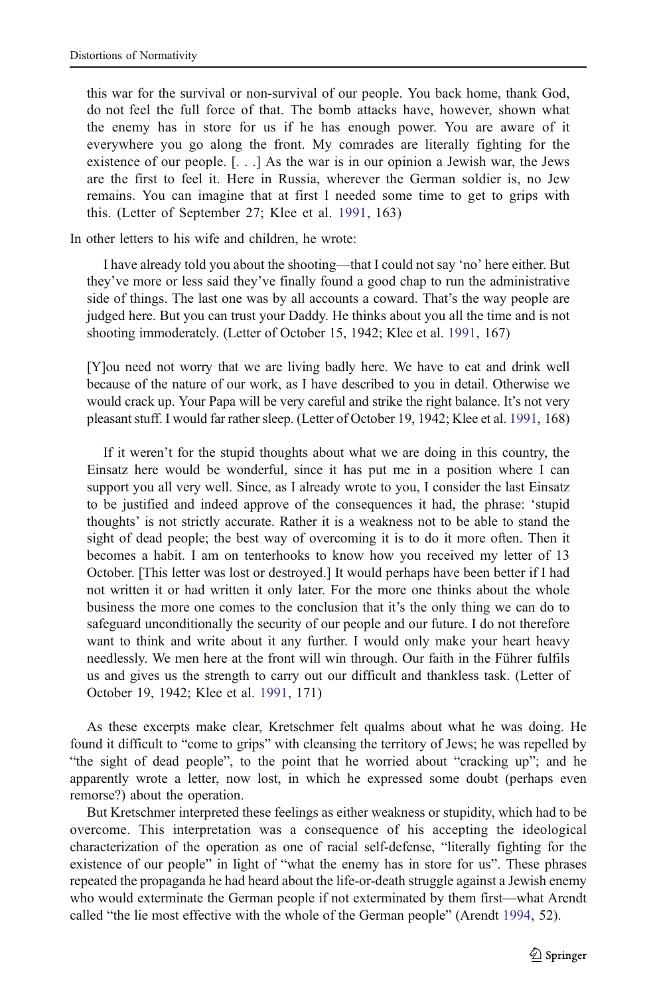this war for the survival or non-survival of our people. You back home, thank God, do not feel the full force of that. The bomb attacks have, however, shown what the enemy has in store for us if he has enough power. You are aware of it everywhere you go along the front. My comrades are literally fighting for the existence of our people.  $[\dots]$  As the war is in our opinion a Jewish war, the Jews are the first to feel it. Here in Russia, wherever the German soldier is, no Jew remains. You can imagine that at first I needed some time to get to grips with this. (Letter of September 27; Klee et al. [1991](#page-26-0), 163)

In other letters to his wife and children, he wrote:

I have already told you about the shooting—that I could not say 'no' here either. But they've more or less said they've finally found a good chap to run the administrative side of things. The last one was by all accounts a coward. That's the way people are judged here. But you can trust your Daddy. He thinks about you all the time and is not shooting immoderately. (Letter of October 15, 1942; Klee et al. [1991,](#page-26-0) 167)

[Y]ou need not worry that we are living badly here. We have to eat and drink well because of the nature of our work, as I have described to you in detail. Otherwise we would crack up. Your Papa will be very careful and strike the right balance. It's not very pleasant stuff. I would far rather sleep. (Letter of October 19, 1942; Klee et al. [1991](#page-26-0), 168)

If it weren't for the stupid thoughts about what we are doing in this country, the Einsatz here would be wonderful, since it has put me in a position where I can support you all very well. Since, as I already wrote to you, I consider the last Einsatz to be justified and indeed approve of the consequences it had, the phrase: 'stupid thoughts' is not strictly accurate. Rather it is a weakness not to be able to stand the sight of dead people; the best way of overcoming it is to do it more often. Then it becomes a habit. I am on tenterhooks to know how you received my letter of 13 October. [This letter was lost or destroyed.] It would perhaps have been better if I had not written it or had written it only later. For the more one thinks about the whole business the more one comes to the conclusion that it's the only thing we can do to safeguard unconditionally the security of our people and our future. I do not therefore want to think and write about it any further. I would only make your heart heavy needlessly. We men here at the front will win through. Our faith in the Führer fulfils us and gives us the strength to carry out our difficult and thankless task. (Letter of October 19, 1942; Klee et al. [1991,](#page-26-0) 171)

As these excerpts make clear, Kretschmer felt qualms about what he was doing. He found it difficult to "come to grips" with cleansing the territory of Jews; he was repelled by "the sight of dead people", to the point that he worried about "cracking up"; and he apparently wrote a letter, now lost, in which he expressed some doubt (perhaps even remorse?) about the operation.

But Kretschmer interpreted these feelings as either weakness or stupidity, which had to be overcome. This interpretation was a consequence of his accepting the ideological characterization of the operation as one of racial self-defense, "literally fighting for the existence of our people" in light of "what the enemy has in store for us". These phrases repeated the propaganda he had heard about the life-or-death struggle against a Jewish enemy who would exterminate the German people if not exterminated by them first—what Arendt called "the lie most effective with the whole of the German people" (Arendt [1994](#page-26-0), 52).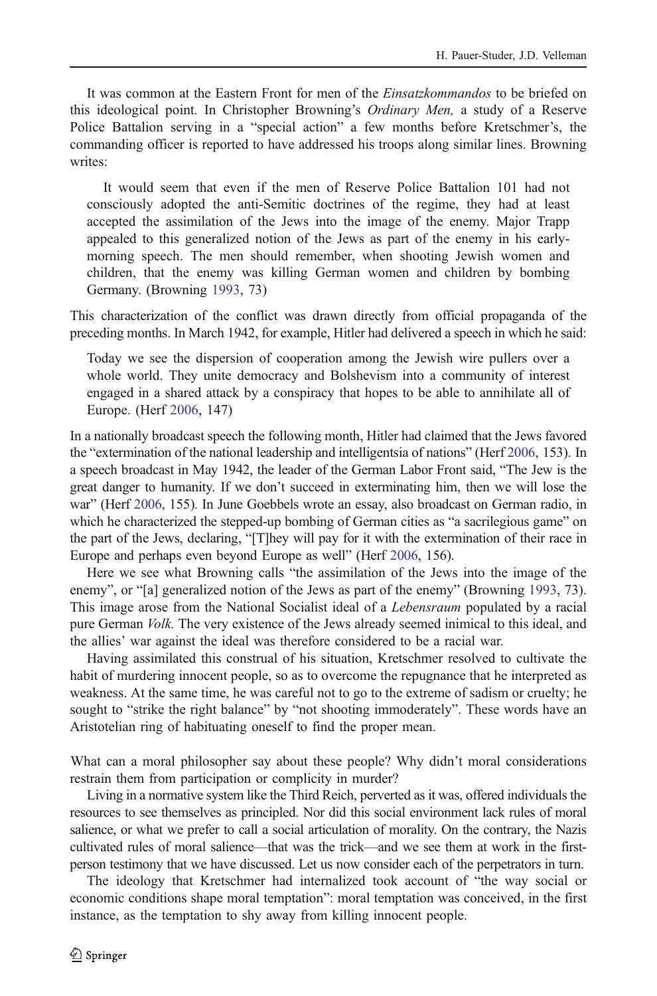It was common at the Eastern Front for men of the *Einsatzkommandos* to be briefed on this ideological point. In Christopher Browning's Ordinary Men, a study of a Reserve Police Battalion serving in a "special action" a few months before Kretschmer's, the commanding officer is reported to have addressed his troops along similar lines. Browning writes:

It would seem that even if the men of Reserve Police Battalion 101 had not consciously adopted the anti-Semitic doctrines of the regime, they had at least accepted the assimilation of the Jews into the image of the enemy. Major Trapp appealed to this generalized notion of the Jews as part of the enemy in his earlymorning speech. The men should remember, when shooting Jewish women and children, that the enemy was killing German women and children by bombing Germany. (Browning [1993,](#page-26-0) 73)

This characterization of the conflict was drawn directly from official propaganda of the preceding months. In March 1942, for example, Hitler had delivered a speech in which he said:

Today we see the dispersion of cooperation among the Jewish wire pullers over a whole world. They unite democracy and Bolshevism into a community of interest engaged in a shared attack by a conspiracy that hopes to be able to annihilate all of Europe. (Herf [2006,](#page-26-0) 147)

In a nationally broadcast speech the following month, Hitler had claimed that the Jews favored the "extermination of the national leadership and intelligentsia of nations" (Herf [2006](#page-26-0), 153). In a speech broadcast in May 1942, the leader of the German Labor Front said, "The Jew is the great danger to humanity. If we don't succeed in exterminating him, then we will lose the war" (Herf [2006](#page-26-0), 155). In June Goebbels wrote an essay, also broadcast on German radio, in which he characterized the stepped-up bombing of German cities as "a sacrilegious game" on the part of the Jews, declaring, "[T]hey will pay for it with the extermination of their race in Europe and perhaps even beyond Europe as well" (Herf [2006,](#page-26-0) 156).

Here we see what Browning calls "the assimilation of the Jews into the image of the enemy", or "[a] generalized notion of the Jews as part of the enemy" (Browning [1993,](#page-26-0) 73). This image arose from the National Socialist ideal of a *Lebensraum* populated by a racial pure German Volk. The very existence of the Jews already seemed inimical to this ideal, and the allies' war against the ideal was therefore considered to be a racial war.

Having assimilated this construal of his situation, Kretschmer resolved to cultivate the habit of murdering innocent people, so as to overcome the repugnance that he interpreted as weakness. At the same time, he was careful not to go to the extreme of sadism or cruelty; he sought to "strike the right balance" by "not shooting immoderately". These words have an Aristotelian ring of habituating oneself to find the proper mean.

What can a moral philosopher say about these people? Why didn't moral considerations restrain them from participation or complicity in murder?

Living in a normative system like the Third Reich, perverted as it was, offered individuals the resources to see themselves as principled. Nor did this social environment lack rules of moral salience, or what we prefer to call a social articulation of morality. On the contrary, the Nazis cultivated rules of moral salience—that was the trick—and we see them at work in the firstperson testimony that we have discussed. Let us now consider each of the perpetrators in turn.

The ideology that Kretschmer had internalized took account of "the way social or economic conditions shape moral temptation": moral temptation was conceived, in the first instance, as the temptation to shy away from killing innocent people.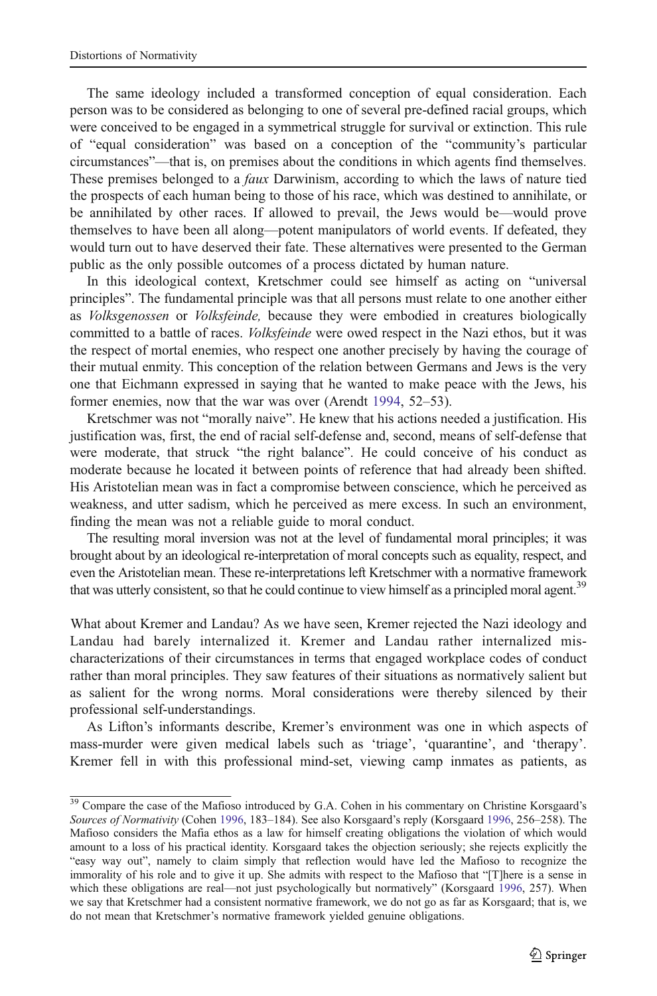The same ideology included a transformed conception of equal consideration. Each person was to be considered as belonging to one of several pre-defined racial groups, which were conceived to be engaged in a symmetrical struggle for survival or extinction. This rule of "equal consideration" was based on a conception of the "community's particular circumstances"—that is, on premises about the conditions in which agents find themselves. These premises belonged to a *faux* Darwinism, according to which the laws of nature tied the prospects of each human being to those of his race, which was destined to annihilate, or be annihilated by other races. If allowed to prevail, the Jews would be—would prove themselves to have been all along—potent manipulators of world events. If defeated, they would turn out to have deserved their fate. These alternatives were presented to the German public as the only possible outcomes of a process dictated by human nature.

In this ideological context, Kretschmer could see himself as acting on "universal principles". The fundamental principle was that all persons must relate to one another either as Volksgenossen or Volksfeinde, because they were embodied in creatures biologically committed to a battle of races. *Volksfeinde* were owed respect in the Nazi ethos, but it was the respect of mortal enemies, who respect one another precisely by having the courage of their mutual enmity. This conception of the relation between Germans and Jews is the very one that Eichmann expressed in saying that he wanted to make peace with the Jews, his former enemies, now that the war was over (Arendt [1994](#page-26-0), 52–53).

Kretschmer was not "morally naive". He knew that his actions needed a justification. His justification was, first, the end of racial self-defense and, second, means of self-defense that were moderate, that struck "the right balance". He could conceive of his conduct as moderate because he located it between points of reference that had already been shifted. His Aristotelian mean was in fact a compromise between conscience, which he perceived as weakness, and utter sadism, which he perceived as mere excess. In such an environment, finding the mean was not a reliable guide to moral conduct.

The resulting moral inversion was not at the level of fundamental moral principles; it was brought about by an ideological re-interpretation of moral concepts such as equality, respect, and even the Aristotelian mean. These re-interpretations left Kretschmer with a normative framework that was utterly consistent, so that he could continue to view himself as a principled moral agent.<sup>39</sup>

What about Kremer and Landau? As we have seen, Kremer rejected the Nazi ideology and Landau had barely internalized it. Kremer and Landau rather internalized mischaracterizations of their circumstances in terms that engaged workplace codes of conduct rather than moral principles. They saw features of their situations as normatively salient but as salient for the wrong norms. Moral considerations were thereby silenced by their professional self-understandings.

As Lifton's informants describe, Kremer's environment was one in which aspects of mass-murder were given medical labels such as 'triage', 'quarantine', and 'therapy'. Kremer fell in with this professional mind-set, viewing camp inmates as patients, as

<sup>&</sup>lt;sup>39</sup> Compare the case of the Mafioso introduced by G.A. Cohen in his commentary on Christine Korsgaard's Sources of Normativity (Cohen [1996,](#page-26-0) 183–184). See also Korsgaard's reply (Korsgaard [1996,](#page-26-0) 256–258). The Mafioso considers the Mafia ethos as a law for himself creating obligations the violation of which would amount to a loss of his practical identity. Korsgaard takes the objection seriously; she rejects explicitly the "easy way out", namely to claim simply that reflection would have led the Mafioso to recognize the immorality of his role and to give it up. She admits with respect to the Mafioso that "[T]here is a sense in which these obligations are real—not just psychologically but normatively" (Korsgaard [1996](#page-26-0), 257). When we say that Kretschmer had a consistent normative framework, we do not go as far as Korsgaard; that is, we do not mean that Kretschmer's normative framework yielded genuine obligations.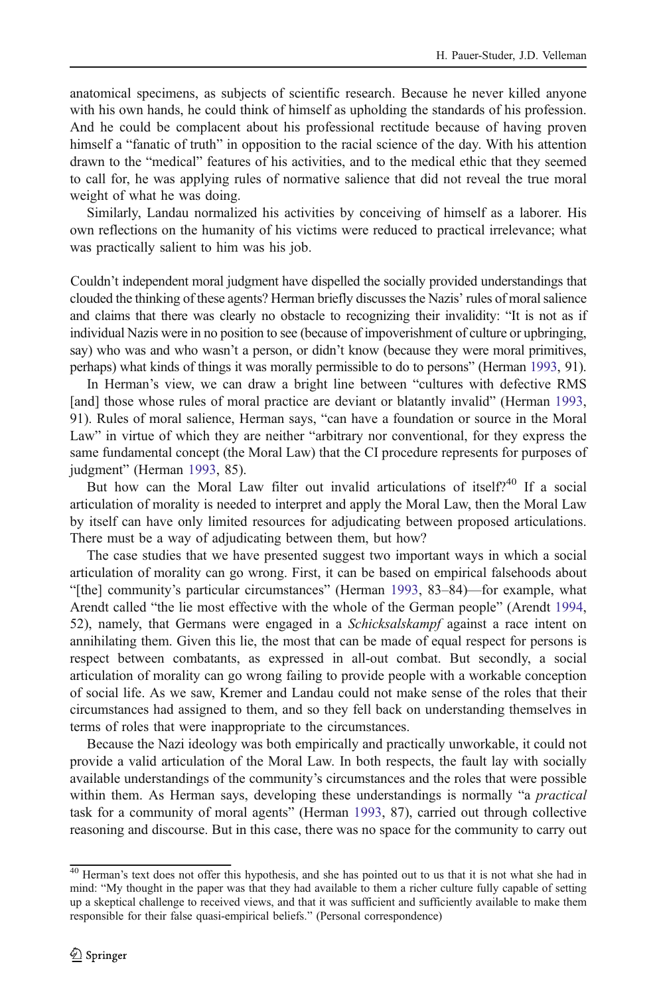anatomical specimens, as subjects of scientific research. Because he never killed anyone with his own hands, he could think of himself as upholding the standards of his profession. And he could be complacent about his professional rectitude because of having proven himself a "fanatic of truth" in opposition to the racial science of the day. With his attention drawn to the "medical" features of his activities, and to the medical ethic that they seemed to call for, he was applying rules of normative salience that did not reveal the true moral weight of what he was doing.

Similarly, Landau normalized his activities by conceiving of himself as a laborer. His own reflections on the humanity of his victims were reduced to practical irrelevance; what was practically salient to him was his job.

Couldn't independent moral judgment have dispelled the socially provided understandings that clouded the thinking of these agents? Herman briefly discusses the Nazis' rules of moral salience and claims that there was clearly no obstacle to recognizing their invalidity: "It is not as if individual Nazis were in no position to see (because of impoverishment of culture or upbringing, say) who was and who wasn't a person, or didn't know (because they were moral primitives, perhaps) what kinds of things it was morally permissible to do to persons" (Herman [1993,](#page-26-0) 91).

In Herman's view, we can draw a bright line between "cultures with defective RMS [and] those whose rules of moral practice are deviant or blatantly invalid" (Herman [1993](#page-26-0), 91). Rules of moral salience, Herman says, "can have a foundation or source in the Moral Law" in virtue of which they are neither "arbitrary nor conventional, for they express the same fundamental concept (the Moral Law) that the CI procedure represents for purposes of judgment" (Herman [1993,](#page-26-0) 85).

But how can the Moral Law filter out invalid articulations of itself?<sup>40</sup> If a social articulation of morality is needed to interpret and apply the Moral Law, then the Moral Law by itself can have only limited resources for adjudicating between proposed articulations. There must be a way of adjudicating between them, but how?

The case studies that we have presented suggest two important ways in which a social articulation of morality can go wrong. First, it can be based on empirical falsehoods about "[the] community's particular circumstances" (Herman [1993](#page-26-0), 83–84)—for example, what Arendt called "the lie most effective with the whole of the German people" (Arendt [1994](#page-26-0), 52), namely, that Germans were engaged in a Schicksalskampf against a race intent on annihilating them. Given this lie, the most that can be made of equal respect for persons is respect between combatants, as expressed in all-out combat. But secondly, a social articulation of morality can go wrong failing to provide people with a workable conception of social life. As we saw, Kremer and Landau could not make sense of the roles that their circumstances had assigned to them, and so they fell back on understanding themselves in terms of roles that were inappropriate to the circumstances.

Because the Nazi ideology was both empirically and practically unworkable, it could not provide a valid articulation of the Moral Law. In both respects, the fault lay with socially available understandings of the community's circumstances and the roles that were possible within them. As Herman says, developing these understandings is normally "a *practical* task for a community of moral agents" (Herman [1993,](#page-26-0) 87), carried out through collective reasoning and discourse. But in this case, there was no space for the community to carry out

<sup>40</sup> Herman's text does not offer this hypothesis, and she has pointed out to us that it is not what she had in mind: "My thought in the paper was that they had available to them a richer culture fully capable of setting up a skeptical challenge to received views, and that it was sufficient and sufficiently available to make them responsible for their false quasi-empirical beliefs." (Personal correspondence)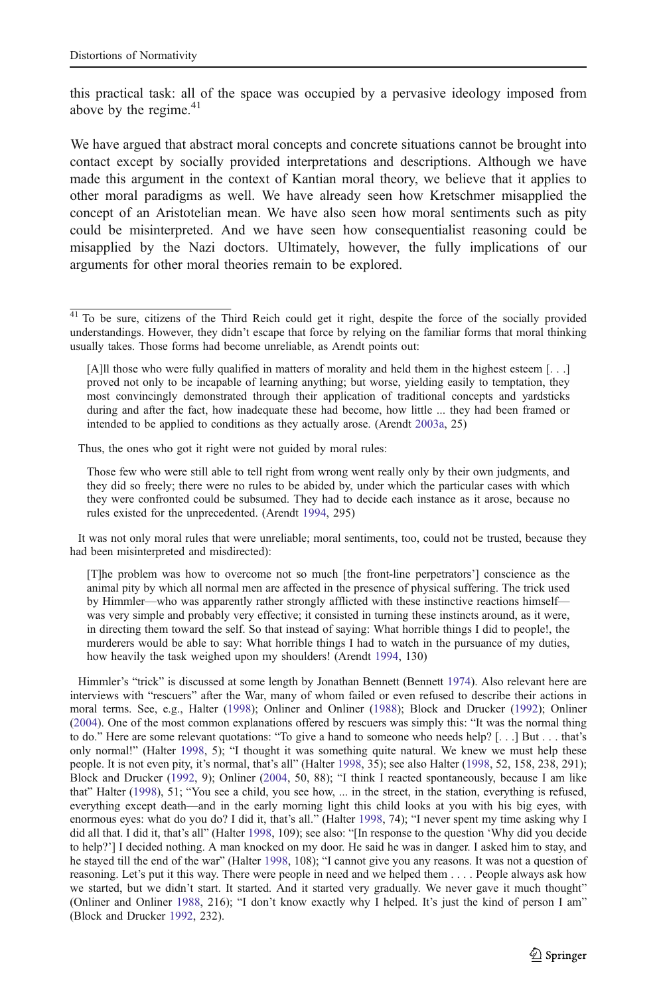this practical task: all of the space was occupied by a pervasive ideology imposed from above by the regime. $41$ 

We have argued that abstract moral concepts and concrete situations cannot be brought into contact except by socially provided interpretations and descriptions. Although we have made this argument in the context of Kantian moral theory, we believe that it applies to other moral paradigms as well. We have already seen how Kretschmer misapplied the concept of an Aristotelian mean. We have also seen how moral sentiments such as pity could be misinterpreted. And we have seen how consequentialist reasoning could be misapplied by the Nazi doctors. Ultimately, however, the fully implications of our arguments for other moral theories remain to be explored.

Thus, the ones who got it right were not guided by moral rules:

Those few who were still able to tell right from wrong went really only by their own judgments, and they did so freely; there were no rules to be abided by, under which the particular cases with which they were confronted could be subsumed. They had to decide each instance as it arose, because no rules existed for the unprecedented. (Arendt [1994](#page-26-0), 295)

It was not only moral rules that were unreliable; moral sentiments, too, could not be trusted, because they had been misinterpreted and misdirected):

[T]he problem was how to overcome not so much [the front-line perpetrators'] conscience as the animal pity by which all normal men are affected in the presence of physical suffering. The trick used by Himmler—who was apparently rather strongly afflicted with these instinctive reactions himself was very simple and probably very effective; it consisted in turning these instincts around, as it were, in directing them toward the self. So that instead of saying: What horrible things I did to people!, the murderers would be able to say: What horrible things I had to watch in the pursuance of my duties, how heavily the task weighed upon my shoulders! (Arendt [1994,](#page-26-0) 130)

Himmler's "trick" is discussed at some length by Jonathan Bennett (Bennett [1974](#page-26-0)). Also relevant here are interviews with "rescuers" after the War, many of whom failed or even refused to describe their actions in moral terms. See, e.g., Halter [\(1998](#page-26-0)); Onliner and Onliner ([1988\)](#page-27-0); Block and Drucker [\(1992](#page-26-0)); Onliner [\(2004](#page-27-0)). One of the most common explanations offered by rescuers was simply this: "It was the normal thing to do." Here are some relevant quotations: "To give a hand to someone who needs help? [. . .] But . . . that's only normal!" (Halter [1998,](#page-26-0) 5); "I thought it was something quite natural. We knew we must help these people. It is not even pity, it's normal, that's all" (Halter [1998,](#page-26-0) 35); see also Halter ([1998,](#page-26-0) 52, 158, 238, 291); Block and Drucker [\(1992](#page-26-0), 9); Onliner [\(2004](#page-27-0), 50, 88); "I think I reacted spontaneously, because I am like that" Halter [\(1998\)](#page-26-0), 51; "You see a child, you see how, ... in the street, in the station, everything is refused, everything except death—and in the early morning light this child looks at you with his big eyes, with enormous eyes: what do you do? I did it, that's all." (Halter [1998,](#page-26-0) 74); "I never spent my time asking why I did all that. I did it, that's all" (Halter [1998,](#page-26-0) 109); see also: "[In response to the question 'Why did you decide to help?'] I decided nothing. A man knocked on my door. He said he was in danger. I asked him to stay, and he stayed till the end of the war" (Halter [1998,](#page-26-0) 108); "I cannot give you any reasons. It was not a question of reasoning. Let's put it this way. There were people in need and we helped them .... People always ask how we started, but we didn't start. It started. And it started very gradually. We never gave it much thought" (Onliner and Onliner [1988,](#page-27-0) 216); "I don't know exactly why I helped. It's just the kind of person I am" (Block and Drucker [1992](#page-26-0), 232).

<sup>&</sup>lt;sup>41</sup> To be sure, citizens of the Third Reich could get it right, despite the force of the socially provided understandings. However, they didn't escape that force by relying on the familiar forms that moral thinking usually takes. Those forms had become unreliable, as Arendt points out:

<sup>[</sup>A]ll those who were fully qualified in matters of morality and held them in the highest esteem [. . .] proved not only to be incapable of learning anything; but worse, yielding easily to temptation, they most convincingly demonstrated through their application of traditional concepts and yardsticks during and after the fact, how inadequate these had become, how little ... they had been framed or intended to be applied to conditions as they actually arose. (Arendt [2003a](#page-26-0), 25)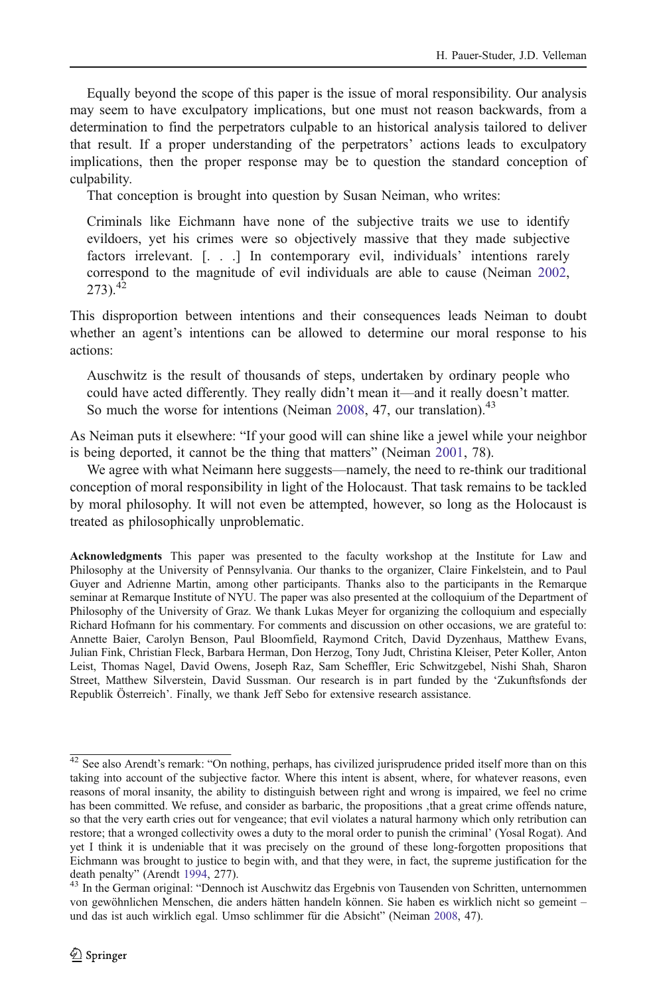Equally beyond the scope of this paper is the issue of moral responsibility. Our analysis may seem to have exculpatory implications, but one must not reason backwards, from a determination to find the perpetrators culpable to an historical analysis tailored to deliver that result. If a proper understanding of the perpetrators' actions leads to exculpatory implications, then the proper response may be to question the standard conception of culpability.

That conception is brought into question by Susan Neiman, who writes:

Criminals like Eichmann have none of the subjective traits we use to identify evildoers, yet his crimes were so objectively massive that they made subjective factors irrelevant. [. . .] In contemporary evil, individuals' intentions rarely correspond to the magnitude of evil individuals are able to cause (Neiman [2002,](#page-27-0)  $273$ )<sup>42</sup>

This disproportion between intentions and their consequences leads Neiman to doubt whether an agent's intentions can be allowed to determine our moral response to his actions:

Auschwitz is the result of thousands of steps, undertaken by ordinary people who could have acted differently. They really didn't mean it—and it really doesn't matter. So much the worse for intentions (Neiman [2008](#page-27-0), 47, our translation).<sup>43</sup>

As Neiman puts it elsewhere: "If your good will can shine like a jewel while your neighbor is being deported, it cannot be the thing that matters" (Neiman [2001](#page-27-0), 78).

We agree with what Neimann here suggests—namely, the need to re-think our traditional conception of moral responsibility in light of the Holocaust. That task remains to be tackled by moral philosophy. It will not even be attempted, however, so long as the Holocaust is treated as philosophically unproblematic.

Acknowledgments This paper was presented to the faculty workshop at the Institute for Law and Philosophy at the University of Pennsylvania. Our thanks to the organizer, Claire Finkelstein, and to Paul Guyer and Adrienne Martin, among other participants. Thanks also to the participants in the Remarque seminar at Remarque Institute of NYU. The paper was also presented at the colloquium of the Department of Philosophy of the University of Graz. We thank Lukas Meyer for organizing the colloquium and especially Richard Hofmann for his commentary. For comments and discussion on other occasions, we are grateful to: Annette Baier, Carolyn Benson, Paul Bloomfield, Raymond Critch, David Dyzenhaus, Matthew Evans, Julian Fink, Christian Fleck, Barbara Herman, Don Herzog, Tony Judt, Christina Kleiser, Peter Koller, Anton Leist, Thomas Nagel, David Owens, Joseph Raz, Sam Scheffler, Eric Schwitzgebel, Nishi Shah, Sharon Street, Matthew Silverstein, David Sussman. Our research is in part funded by the 'Zukunftsfonds der Republik Österreich'. Finally, we thank Jeff Sebo for extensive research assistance.

 $42$  See also Arendt's remark: "On nothing, perhaps, has civilized jurisprudence prided itself more than on this taking into account of the subjective factor. Where this intent is absent, where, for whatever reasons, even reasons of moral insanity, the ability to distinguish between right and wrong is impaired, we feel no crime has been committed. We refuse, and consider as barbaric, the propositions, that a great crime offends nature, so that the very earth cries out for vengeance; that evil violates a natural harmony which only retribution can restore; that a wronged collectivity owes a duty to the moral order to punish the criminal' (Yosal Rogat). And yet I think it is undeniable that it was precisely on the ground of these long-forgotten propositions that Eichmann was brought to justice to begin with, and that they were, in fact, the supreme justification for the death penalty" (Arendt [1994,](#page-26-0) 277).<br><sup>43</sup> In the German original: "Dennoch ist Auschwitz das Ergebnis von Tausenden von Schritten, unternommen

von gewöhnlichen Menschen, die anders hätten handeln können. Sie haben es wirklich nicht so gemeint – und das ist auch wirklich egal. Umso schlimmer für die Absicht" (Neiman [2008](#page-27-0), 47).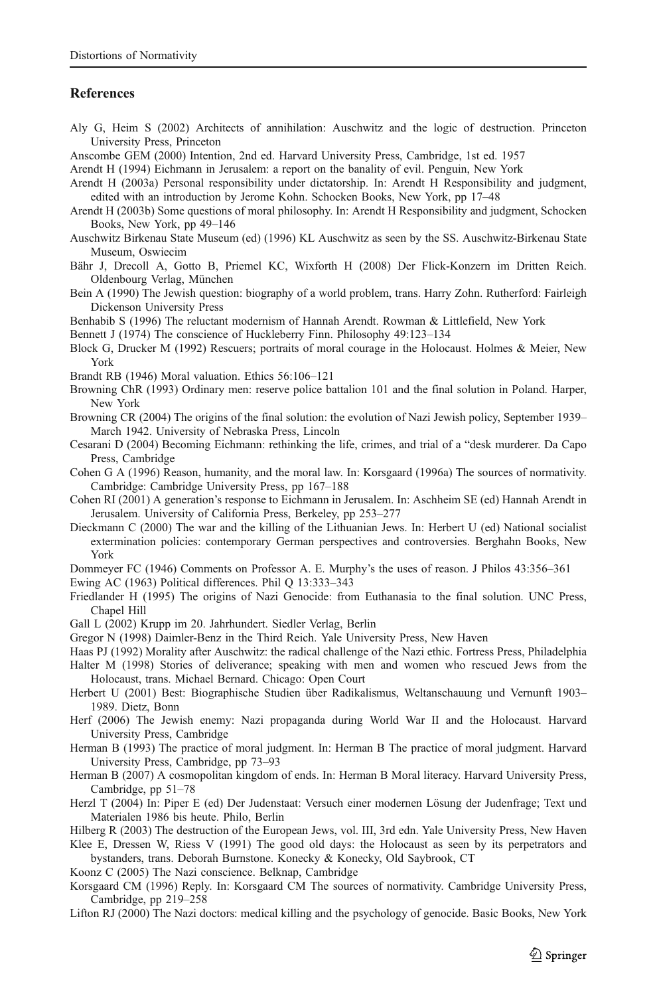## References

- Aly G, Heim S (2002) Architects of annihilation: Auschwitz and the logic of destruction. Princeton University Press, Princeton
- Anscombe GEM (2000) Intention, 2nd ed. Harvard University Press, Cambridge, 1st ed. 1957
- Arendt H (1994) Eichmann in Jerusalem: a report on the banality of evil. Penguin, New York
- Arendt H (2003a) Personal responsibility under dictatorship. In: Arendt H Responsibility and judgment, edited with an introduction by Jerome Kohn. Schocken Books, New York, pp 17–48
- Arendt H (2003b) Some questions of moral philosophy. In: Arendt H Responsibility and judgment, Schocken Books, New York, pp 49–146
- Auschwitz Birkenau State Museum (ed) (1996) KL Auschwitz as seen by the SS. Auschwitz-Birkenau State Museum, Oswiecim
- Bähr J, Drecoll A, Gotto B, Priemel KC, Wixforth H (2008) Der Flick-Konzern im Dritten Reich. Oldenbourg Verlag, München
- Bein A (1990) The Jewish question: biography of a world problem, trans. Harry Zohn. Rutherford: Fairleigh Dickenson University Press
- Benhabib S (1996) The reluctant modernism of Hannah Arendt. Rowman & Littlefield, New York
- Bennett J (1974) The conscience of Huckleberry Finn. Philosophy 49:123–134
- Block G, Drucker M (1992) Rescuers; portraits of moral courage in the Holocaust. Holmes & Meier, New York
- Brandt RB (1946) Moral valuation. Ethics 56:106–121
- Browning ChR (1993) Ordinary men: reserve police battalion 101 and the final solution in Poland. Harper, New York
- Browning CR (2004) The origins of the final solution: the evolution of Nazi Jewish policy, September 1939– March 1942. University of Nebraska Press, Lincoln
- Cesarani D (2004) Becoming Eichmann: rethinking the life, crimes, and trial of a "desk murderer. Da Capo Press, Cambridge
- Cohen G A (1996) Reason, humanity, and the moral law. In: Korsgaard (1996a) The sources of normativity. Cambridge: Cambridge University Press, pp 167–188
- Cohen RI (2001) A generation's response to Eichmann in Jerusalem. In: Aschheim SE (ed) Hannah Arendt in Jerusalem. University of California Press, Berkeley, pp 253–277
- Dieckmann C (2000) The war and the killing of the Lithuanian Jews. In: Herbert U (ed) National socialist extermination policies: contemporary German perspectives and controversies. Berghahn Books, New York

Dommeyer FC (1946) Comments on Professor A. E. Murphy's the uses of reason. J Philos 43:356–361

Ewing AC (1963) Political differences. Phil Q 13:333–343

- Friedlander H (1995) The origins of Nazi Genocide: from Euthanasia to the final solution. UNC Press, Chapel Hill
- Gall L (2002) Krupp im 20. Jahrhundert. Siedler Verlag, Berlin
- Gregor N (1998) Daimler-Benz in the Third Reich. Yale University Press, New Haven
- Haas PJ (1992) Morality after Auschwitz: the radical challenge of the Nazi ethic. Fortress Press, Philadelphia
- Halter M (1998) Stories of deliverance; speaking with men and women who rescued Jews from the Holocaust, trans. Michael Bernard. Chicago: Open Court
- Herbert U (2001) Best: Biographische Studien über Radikalismus, Weltanschauung und Vernunft 1903– 1989. Dietz, Bonn
- Herf (2006) The Jewish enemy: Nazi propaganda during World War II and the Holocaust. Harvard University Press, Cambridge
- Herman B (1993) The practice of moral judgment. In: Herman B The practice of moral judgment. Harvard University Press, Cambridge, pp 73–93
- Herman B (2007) A cosmopolitan kingdom of ends. In: Herman B Moral literacy. Harvard University Press, Cambridge, pp 51–78
- Herzl T (2004) In: Piper E (ed) Der Judenstaat: Versuch einer modernen Lösung der Judenfrage; Text und Materialen 1986 bis heute. Philo, Berlin

Hilberg R (2003) The destruction of the European Jews, vol. III, 3rd edn. Yale University Press, New Haven

Klee E, Dressen W, Riess V (1991) The good old days: the Holocaust as seen by its perpetrators and bystanders, trans. Deborah Burnstone. Konecky & Konecky, Old Saybrook, CT

Koonz C (2005) The Nazi conscience. Belknap, Cambridge

- Korsgaard CM (1996) Reply. In: Korsgaard CM The sources of normativity. Cambridge University Press, Cambridge, pp 219–258
- <span id="page-26-0"></span>Lifton RJ (2000) The Nazi doctors: medical killing and the psychology of genocide. Basic Books, New York